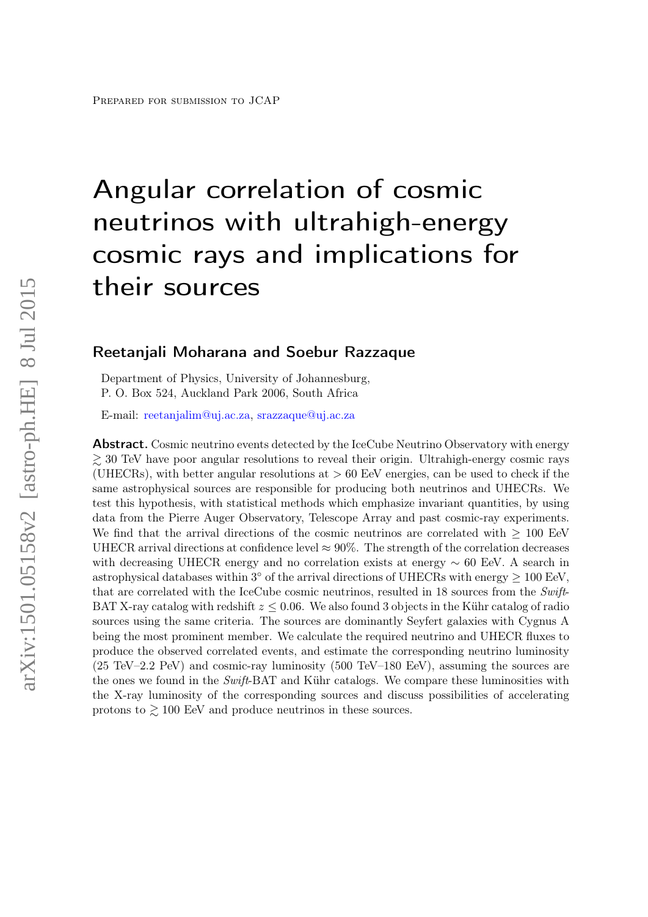# Angular correlation of cosmic neutrinos with ultrahigh-energy cosmic rays and implications for their sources

## Reetanjali Moharana and Soebur Razzaque

Department of Physics, University of Johannesburg, P. O. Box 524, Auckland Park 2006, South Africa

E-mail: [reetanjalim@uj.ac.za,](mailto:reetanjalim@uj.ac.za) [srazzaque@uj.ac.za](mailto:srazzaque@uj.ac.za)

**Abstract.** Cosmic neutrino events detected by the IceCube Neutrino Observatory with energy  $\gtrsim$  30 TeV have poor angular resolutions to reveal their origin. Ultrahigh-energy cosmic rays (UHECRs), with better angular resolutions at  $> 60$  EeV energies, can be used to check if the same astrophysical sources are responsible for producing both neutrinos and UHECRs. We test this hypothesis, with statistical methods which emphasize invariant quantities, by using data from the Pierre Auger Observatory, Telescope Array and past cosmic-ray experiments. We find that the arrival directions of the cosmic neutrinos are correlated with  $> 100$  EeV UHECR arrival directions at confidence level  $\approx 90\%$ . The strength of the correlation decreases with decreasing UHECR energy and no correlation exists at energy ∼ 60 EeV. A search in astrophysical databases within  $3^{\circ}$  of the arrival directions of UHECRs with energy  $\geq 100$  EeV, that are correlated with the IceCube cosmic neutrinos, resulted in 18 sources from the Swift-BAT X-ray catalog with redshift  $z \leq 0.06$ . We also found 3 objects in the Kühr catalog of radio sources using the same criteria. The sources are dominantly Seyfert galaxies with Cygnus A being the most prominent member. We calculate the required neutrino and UHECR fluxes to produce the observed correlated events, and estimate the corresponding neutrino luminosity (25 TeV–2.2 PeV) and cosmic-ray luminosity (500 TeV–180 EeV), assuming the sources are the ones we found in the Swift-BAT and Kühr catalogs. We compare these luminosities with the X-ray luminosity of the corresponding sources and discuss possibilities of accelerating protons to  $\geq 100$  EeV and produce neutrinos in these sources.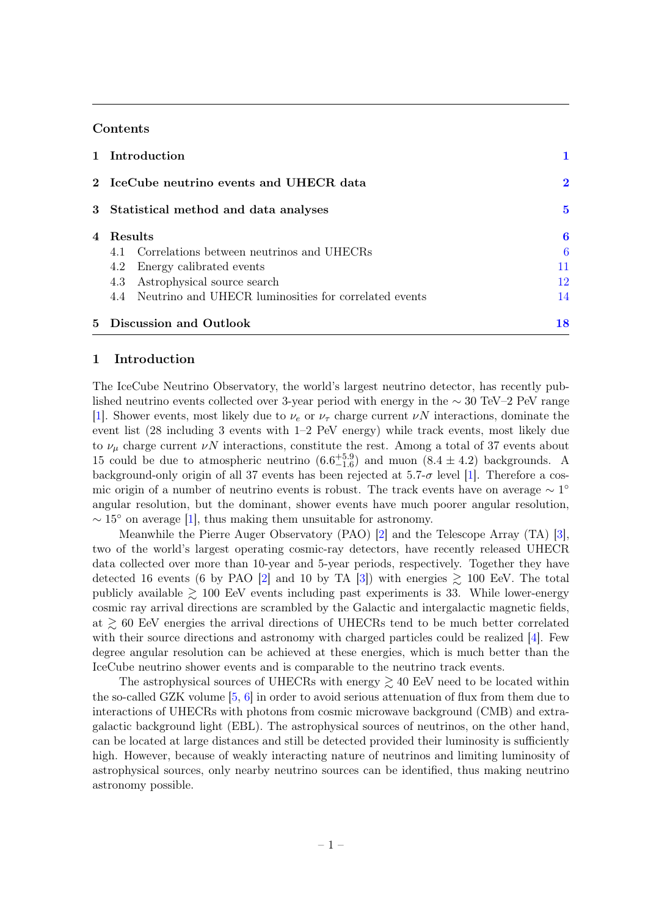## Contents

| 1 Introduction                                            |    |  |  |  |
|-----------------------------------------------------------|----|--|--|--|
| 2 IceCube neutrino events and UHECR data                  |    |  |  |  |
| 3 Statistical method and data analyses                    |    |  |  |  |
| 4 Results                                                 | 6  |  |  |  |
| 4.1 Correlations between neutrinos and UHECRs             | 6  |  |  |  |
| 4.2 Energy calibrated events                              | 11 |  |  |  |
| 4.3 Astrophysical source search                           | 12 |  |  |  |
| 4.4 Neutrino and UHECR luminosities for correlated events | 14 |  |  |  |
| 5 Discussion and Outlook                                  | 18 |  |  |  |

## <span id="page-1-0"></span>1 Introduction

The IceCube Neutrino Observatory, the world's largest neutrino detector, has recently published neutrino events collected over 3-year period with energy in the ∼ 30 TeV–2 PeV range [\[1\]](#page-20-0). Shower events, most likely due to  $\nu_e$  or  $\nu_\tau$  charge current  $\nu N$  interactions, dominate the event list (28 including 3 events with 1–2 PeV energy) while track events, most likely due to  $\nu_{\mu}$  charge current  $\nu N$  interactions, constitute the rest. Among a total of 37 events about 15 could be due to atmospheric neutrino  $(6.6^{+5.9}_{-1.6})$  and muon  $(8.4 \pm 4.2)$  backgrounds. A background-only origin of all 37 events has been rejected at  $5.7-\sigma$  level [\[1\]](#page-20-0). Therefore a cosmic origin of a number of neutrino events is robust. The track events have on average  $\sim 1^{\circ}$ angular resolution, but the dominant, shower events have much poorer angular resolution,  $\sim 15^{\circ}$  on average [\[1\]](#page-20-0), thus making them unsuitable for astronomy.

Meanwhile the Pierre Auger Observatory (PAO) [\[2\]](#page-20-1) and the Telescope Array (TA) [\[3\]](#page-20-2), two of the world's largest operating cosmic-ray detectors, have recently released UHECR data collected over more than 10-year and 5-year periods, respectively. Together they have detected 16 events (6 by PAO [\[2\]](#page-20-1) and 10 by TA [\[3\]](#page-20-2)) with energies  $\geq$  100 EeV. The total publicly available  $\geq 100$  EeV events including past experiments is 33. While lower-energy cosmic ray arrival directions are scrambled by the Galactic and intergalactic magnetic fields, at  $\gtrsim 60$  EeV energies the arrival directions of UHECRs tend to be much better correlated with their source directions and astronomy with charged particles could be realized [\[4\]](#page-20-3). Few degree angular resolution can be achieved at these energies, which is much better than the IceCube neutrino shower events and is comparable to the neutrino track events.

The astrophysical sources of UHECRs with energy  $\geq 40$  EeV need to be located within the so-called GZK volume [\[5,](#page-20-4) [6\]](#page-20-5) in order to avoid serious attenuation of flux from them due to interactions of UHECRs with photons from cosmic microwave background (CMB) and extragalactic background light (EBL). The astrophysical sources of neutrinos, on the other hand, can be located at large distances and still be detected provided their luminosity is sufficiently high. However, because of weakly interacting nature of neutrinos and limiting luminosity of astrophysical sources, only nearby neutrino sources can be identified, thus making neutrino astronomy possible.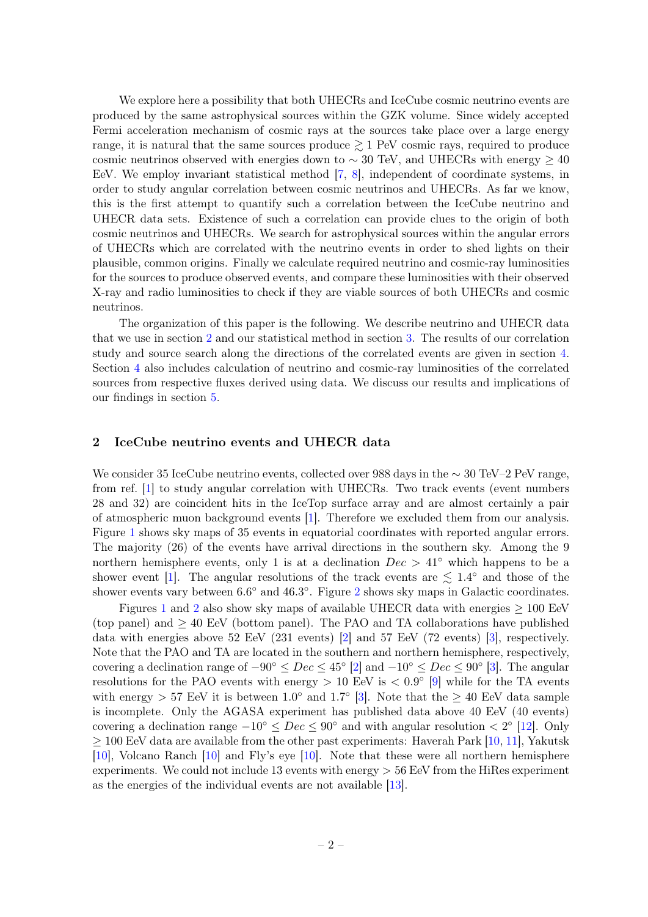We explore here a possibility that both UHECRs and IceCube cosmic neutrino events are produced by the same astrophysical sources within the GZK volume. Since widely accepted Fermi acceleration mechanism of cosmic rays at the sources take place over a large energy range, it is natural that the same sources produce  $\geq 1$  PeV cosmic rays, required to produce cosmic neutrinos observed with energies down to  $\sim 30$  TeV, and UHECRs with energy  $\geq 40$ EeV. We employ invariant statistical method [\[7,](#page-20-6) [8\]](#page-20-7), independent of coordinate systems, in order to study angular correlation between cosmic neutrinos and UHECRs. As far we know, this is the first attempt to quantify such a correlation between the IceCube neutrino and UHECR data sets. Existence of such a correlation can provide clues to the origin of both cosmic neutrinos and UHECRs. We search for astrophysical sources within the angular errors of UHECRs which are correlated with the neutrino events in order to shed lights on their plausible, common origins. Finally we calculate required neutrino and cosmic-ray luminosities for the sources to produce observed events, and compare these luminosities with their observed X-ray and radio luminosities to check if they are viable sources of both UHECRs and cosmic neutrinos.

The organization of this paper is the following. We describe neutrino and UHECR data that we use in section [2](#page-2-0) and our statistical method in section [3.](#page-5-0) The results of our correlation study and source search along the directions of the correlated events are given in section [4.](#page-6-0) Section [4](#page-6-0) also includes calculation of neutrino and cosmic-ray luminosities of the correlated sources from respective fluxes derived using data. We discuss our results and implications of our findings in section [5.](#page-18-0)

## <span id="page-2-0"></span>2 IceCube neutrino events and UHECR data

We consider 35 IceCube neutrino events, collected over 988 days in the ∼ 30 TeV–2 PeV range, from ref. [\[1\]](#page-20-0) to study angular correlation with UHECRs. Two track events (event numbers 28 and 32) are coincident hits in the IceTop surface array and are almost certainly a pair of atmospheric muon background events [\[1\]](#page-20-0). Therefore we excluded them from our analysis. Figure [1](#page-3-0) shows sky maps of 35 events in equatorial coordinates with reported angular errors. The majority (26) of the events have arrival directions in the southern sky. Among the 9 northern hemisphere events, only 1 is at a declination  $Dec > 41°$  which happens to be a shower event [\[1\]](#page-20-0). The angular resolutions of the track events are  $\lesssim 1.4^{\circ}$  and those of the shower events vary between  $6.6^{\circ}$  and  $46.3^{\circ}$ . Figure [2](#page-4-0) shows sky maps in Galactic coordinates.

Figures [1](#page-3-0) and [2](#page-4-0) also show sky maps of available UHECR data with energies  $\geq 100$  EeV (top panel) and  $\geq 40$  EeV (bottom panel). The PAO and TA collaborations have published data with energies above 52 EeV (231 events) [\[2\]](#page-20-1) and 57 EeV (72 events) [\[3\]](#page-20-2), respectively. Note that the PAO and TA are located in the southern and northern hemisphere, respectively, covering a declination range of  $-90^{\circ} \leq Dec \leq 45^{\circ}$  [\[2\]](#page-20-1) and  $-10^{\circ} \leq Dec \leq 90^{\circ}$  [\[3\]](#page-20-2). The angular resolutions for the PAO events with energy  $> 10$  EeV is  $< 0.9^{\circ}$  [\[9\]](#page-20-8) while for the TA events with energy > 57 EeV it is between  $1.0^{\circ}$  and  $1.7^{\circ}$  [\[3\]](#page-20-2). Note that the  $\geq 40$  EeV data sample is incomplete. Only the AGASA experiment has published data above 40 EeV (40 events) covering a declination range  $-10^{\circ} \leq Dec \leq 90^{\circ}$  and with angular resolution  $\lt 2^{\circ}$  [\[12\]](#page-20-9). Only  $\geq 100$  EeV data are available from the other past experiments: Haverah Park [\[10,](#page-20-10) [11\]](#page-20-11), Yakutsk [\[10\]](#page-20-10), Volcano Ranch [\[10\]](#page-20-10) and Fly's eye [\[10\]](#page-20-10). Note that these were all northern hemisphere experiments. We could not include 13 events with energy > 56 EeV from the HiRes experiment as the energies of the individual events are not available [\[13\]](#page-20-12).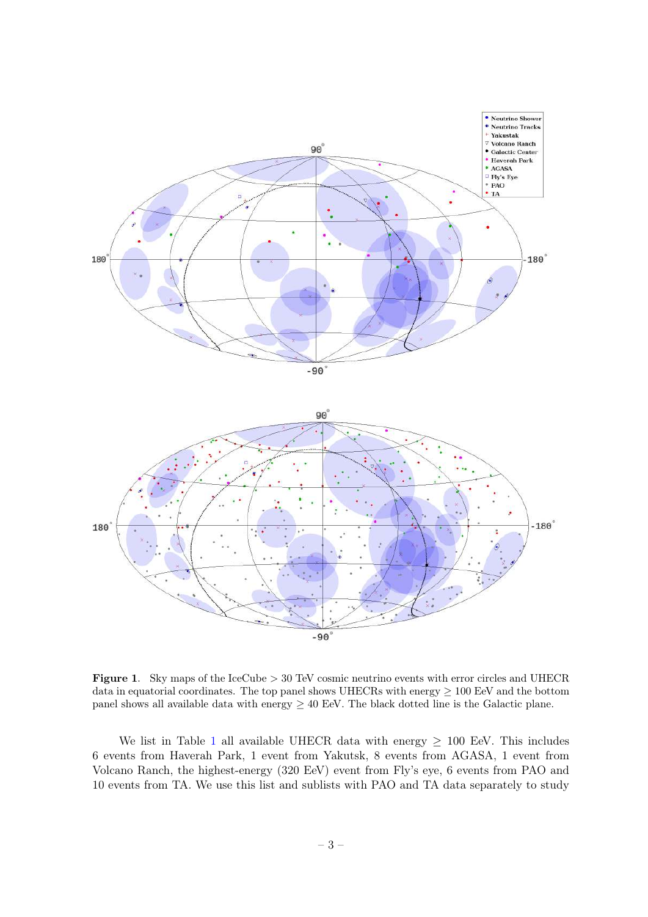

<span id="page-3-0"></span>Figure 1. Sky maps of the IceCube > 30 TeV cosmic neutrino events with error circles and UHECR data in equatorial coordinates. The top panel shows UHECRs with energy  $\geq 100$  EeV and the bottom panel shows all available data with energy  $\geq 40$  EeV. The black dotted line is the Galactic plane.

We list in Table [1](#page-5-1) all available UHECR data with energy  $\geq 100$  EeV. This includes 6 events from Haverah Park, 1 event from Yakutsk, 8 events from AGASA, 1 event from Volcano Ranch, the highest-energy (320 EeV) event from Fly's eye, 6 events from PAO and 10 events from TA. We use this list and sublists with PAO and TA data separately to study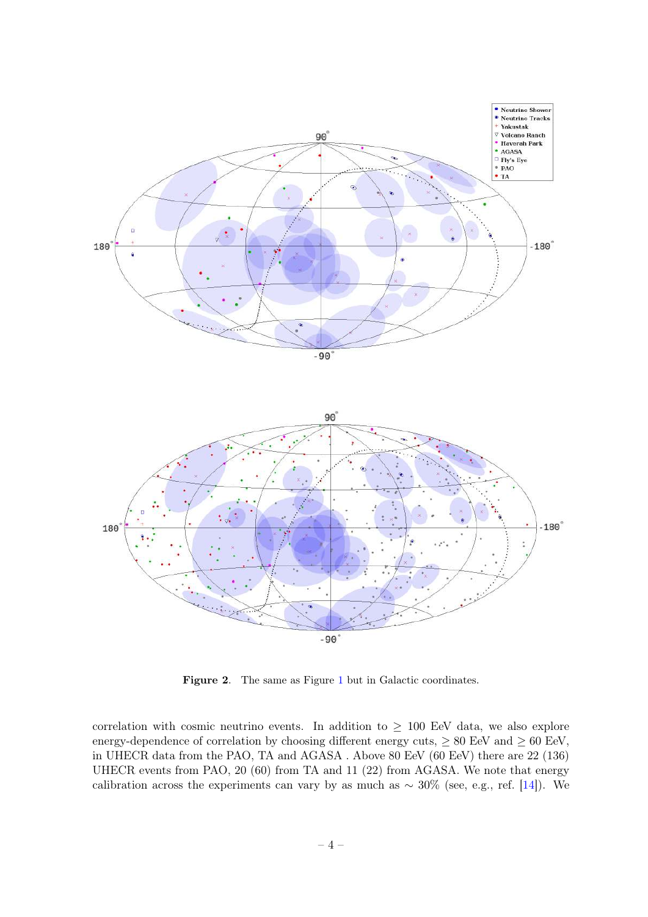

<span id="page-4-0"></span>Figure 2. The same as Figure [1](#page-3-0) but in Galactic coordinates.

correlation with cosmic neutrino events. In addition to  $\geq$  100 EeV data, we also explore energy-dependence of correlation by choosing different energy cuts,  $\geq 80$  EeV and  $\geq 60$  EeV, in UHECR data from the PAO, TA and AGASA . Above 80 EeV (60 EeV) there are 22 (136) UHECR events from PAO, 20 (60) from TA and 11 (22) from AGASA. We note that energy calibration across the experiments can vary by as much as  $\sim 30\%$  (see, e.g., ref. [\[14\]](#page-20-13)). We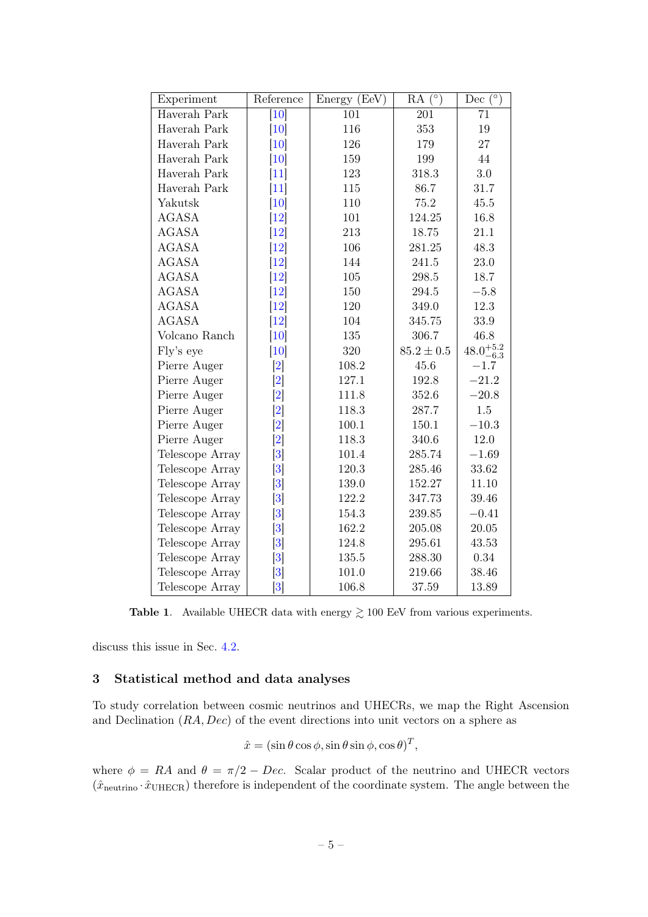| Experiment      | Reference                    | Energy (EeV) | $RA(\overline{(\circ)}$ | Dec $^{\circ}$       |
|-----------------|------------------------------|--------------|-------------------------|----------------------|
| Haverah Park    | [10]                         | 101          | 201                     | 71                   |
| Haverah Park    | $\vert 10 \vert$             | 116          | 353                     | 19                   |
| Haverah Park    | $\left[10\right]$            | 126          | 179                     | 27                   |
| Haverah Park    | $\left[10\right]$            | 159          | 199                     | 44                   |
| Haverah Park    | $[11]$                       | 123          | 318.3                   | 3.0                  |
| Haverah Park    | $[11]$                       | 115          | 86.7                    | 31.7                 |
| Yakutsk         | $\vert 10 \vert$             | 110          | 75.2                    | 45.5                 |
| <b>AGASA</b>    | $\vert 12 \vert$             | 101          | 124.25                  | 16.8                 |
| <b>AGASA</b>    | $\left\lceil 12\right\rceil$ | 213          | 18.75                   | 21.1                 |
| <b>AGASA</b>    | $\left\lceil 12\right\rceil$ | 106          | 281.25                  | 48.3                 |
| <b>AGASA</b>    | $[12]$                       | 144          | 241.5                   | 23.0                 |
| <b>AGASA</b>    | $\vert 12 \vert$             | 105          | 298.5                   | 18.7                 |
| <b>AGASA</b>    | $\left[12\right]$            | 150          | 294.5                   | $-5.8$               |
| <b>AGASA</b>    | $\left[12\right]$            | 120          | 349.0                   | 12.3                 |
| <b>AGASA</b>    | $\left\lceil 12\right\rceil$ | 104          | 345.75                  | 33.9                 |
| Volcano Ranch   | [10]                         | 135          | 306.7                   | 46.8                 |
| Fly's eye       | $\vert 10 \vert$             | 320          | $85.2 \pm 0.5$          | $48.0^{+5.2}_{-6.3}$ |
| Pierre Auger    | $\left[ 2\right]$            | 108.2        | 45.6                    | $-1.7\,$             |
| Pierre Auger    | $\left[ 2\right]$            | 127.1        | 192.8                   | $-21.2$              |
| Pierre Auger    | $\left[ 2\right]$            | 111.8        | 352.6                   | $-20.8$              |
| Pierre Auger    | $\left[ 2\right]$            | 118.3        | 287.7                   | 1.5                  |
| Pierre Auger    | $\left[ 2\right]$            | 100.1        | 150.1                   | $-10.3$              |
| Pierre Auger    | $\left[ 2\right]$            | 118.3        | 340.6                   | 12.0                 |
| Telescope Array | $\left 3\right $             | 101.4        | 285.74                  | $-1.69$              |
| Telescope Array | $\vert 3 \vert$              | 120.3        | 285.46                  | 33.62                |
| Telescope Array | $\left 3\right $             | 139.0        | 152.27                  | 11.10                |
| Telescope Array | $\left 3\right $             | 122.2        | 347.73                  | 39.46                |
| Telescope Array | $\left 3\right $             | 154.3        | 239.85                  | $-0.41$              |
| Telescope Array | $\left 3\right $             | 162.2        | 205.08                  | 20.05                |
| Telescope Array | $\left 3\right $             | 124.8        | 295.61                  | 43.53                |
| Telescope Array | $\left 3\right $             | 135.5        | 288.30                  | 0.34                 |
| Telescope Array | 3                            | 101.0        | 219.66                  | 38.46                |
| Telescope Array | $\vert 3 \vert$              | 106.8        | 37.59                   | 13.89                |

<span id="page-5-1"></span>Table 1. Available UHECR data with energy  $\gtrsim 100$  EeV from various experiments.

discuss this issue in Sec. [4.2.](#page-11-0)

## <span id="page-5-0"></span>3 Statistical method and data analyses

To study correlation between cosmic neutrinos and UHECRs, we map the Right Ascension and Declination (RA, Dec) of the event directions into unit vectors on a sphere as

$$
\hat{x} = (\sin \theta \cos \phi, \sin \theta \sin \phi, \cos \theta)^T,
$$

where  $\phi = RA$  and  $\theta = \pi/2 - Dec$ . Scalar product of the neutrino and UHECR vectors  $(\hat{x}_{neutrino} \cdot \hat{x}_{UHECR})$  therefore is independent of the coordinate system. The angle between the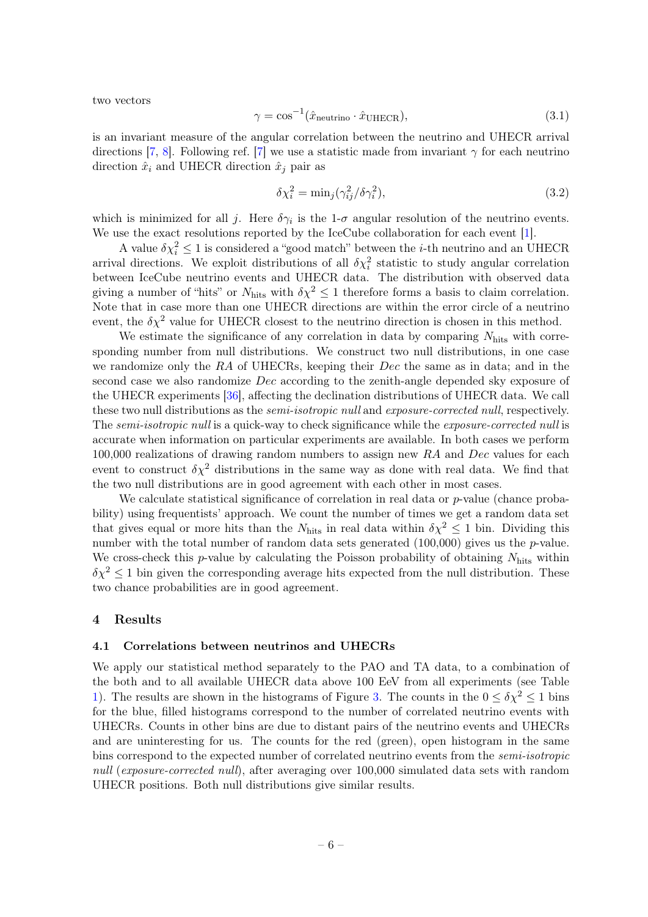two vectors

$$
\gamma = \cos^{-1}(\hat{x}_{\text{neutrino}} \cdot \hat{x}_{\text{UHECR}}),\tag{3.1}
$$

is an invariant measure of the angular correlation between the neutrino and UHECR arrival directions [\[7,](#page-20-6) [8\]](#page-20-7). Following ref. [\[7\]](#page-20-6) we use a statistic made from invariant  $\gamma$  for each neutrino direction  $\hat{x}_i$  and UHECR direction  $\hat{x}_j$  pair as

$$
\delta \chi_i^2 = \min_j (\gamma_{ij}^2 / \delta \gamma_i^2), \qquad (3.2)
$$

which is minimized for all j. Here  $\delta \gamma_i$  is the 1- $\sigma$  angular resolution of the neutrino events. We use the exact resolutions reported by the IceCube collaboration for each event [\[1\]](#page-20-0).

A value  $\delta \chi_i^2 \leq 1$  is considered a "good match" between the *i*-th neutrino and an UHECR arrival directions. We exploit distributions of all  $\delta \chi_i^2$  statistic to study angular correlation between IceCube neutrino events and UHECR data. The distribution with observed data giving a number of "hits" or  $N_{\text{hits}}$  with  $\delta \chi^2 \leq 1$  therefore forms a basis to claim correlation. Note that in case more than one UHECR directions are within the error circle of a neutrino event, the  $\delta \chi^2$  value for UHECR closest to the neutrino direction is chosen in this method.

We estimate the significance of any correlation in data by comparing  $N_{\text{hits}}$  with corresponding number from null distributions. We construct two null distributions, in one case we randomize only the  $RA$  of UHECRs, keeping their  $Dec$  the same as in data; and in the second case we also randomize Dec according to the zenith-angle depended sky exposure of the UHECR experiments [\[36\]](#page-21-0), affecting the declination distributions of UHECR data. We call these two null distributions as the *semi-isotropic null* and *exposure-corrected null*, respectively. The *semi-isotropic null* is a quick-way to check significance while the *exposure-corrected null* is accurate when information on particular experiments are available. In both cases we perform 100,000 realizations of drawing random numbers to assign new RA and Dec values for each event to construct  $\delta \chi^2$  distributions in the same way as done with real data. We find that the two null distributions are in good agreement with each other in most cases.

We calculate statistical significance of correlation in real data or p-value (chance probability) using frequentists' approach. We count the number of times we get a random data set that gives equal or more hits than the  $N_{\text{hits}}$  in real data within  $\delta \chi^2 \leq 1$  bin. Dividing this number with the total number of random data sets generated  $(100,000)$  gives us the *p*-value. We cross-check this p-value by calculating the Poisson probability of obtaining  $N_{\text{hits}}$  within  $\delta \chi^2 \leq 1$  bin given the corresponding average hits expected from the null distribution. These two chance probabilities are in good agreement.

## <span id="page-6-0"></span>4 Results

#### <span id="page-6-1"></span>4.1 Correlations between neutrinos and UHECRs

We apply our statistical method separately to the PAO and TA data, to a combination of the both and to all available UHECR data above 100 EeV from all experiments (see Table [1\)](#page-5-1). The results are shown in the histograms of Figure [3.](#page-7-0) The counts in the  $0 \le \delta \chi^2 \le 1$  bins for the blue, filled histograms correspond to the number of correlated neutrino events with UHECRs. Counts in other bins are due to distant pairs of the neutrino events and UHECRs and are uninteresting for us. The counts for the red (green), open histogram in the same bins correspond to the expected number of correlated neutrino events from the semi-isotropic null (exposure-corrected null), after averaging over 100,000 simulated data sets with random UHECR positions. Both null distributions give similar results.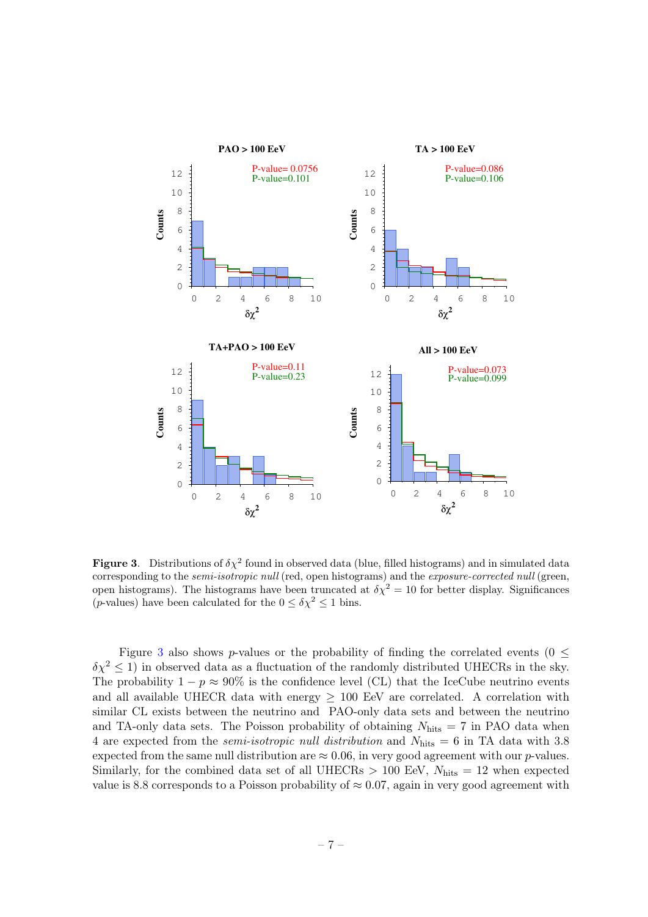

<span id="page-7-0"></span>**Figure 3.** Distributions of  $\delta \chi^2$  found in observed data (blue, filled histograms) and in simulated data corresponding to the semi-isotropic null (red, open histograms) and the exposure-corrected null (green, open histograms). The histograms have been truncated at  $\delta \chi^2 = 10$  for better display. Significances (*p*-values) have been calculated for the  $0\leq\delta\chi^2\leq1$  bins.

Figure [3](#page-7-0) also shows p-values or the probability of finding the correlated events ( $0 \leq$  $\delta \chi^2 \leq 1$ ) in observed data as a fluctuation of the randomly distributed UHECRs in the sky. The probability  $1 - p \approx 90\%$  is the confidence level (CL) that the IceCube neutrino events and all available UHECR data with energy  $\geq$  100 EeV are correlated. A correlation with similar CL exists between the neutrino and PAO-only data sets and between the neutrino and TA-only data sets. The Poisson probability of obtaining  $N_{\text{hits}} = 7$  in PAO data when 4 are expected from the *semi-isotropic null distribution* and  $N_{\text{hits}} = 6$  in TA data with 3.8 expected from the same null distribution are  $\approx 0.06$ , in very good agreement with our p-values. Similarly, for the combined data set of all UHECRs  $> 100$  EeV,  $N_{\text{hits}} = 12$  when expected value is 8.8 corresponds to a Poisson probability of  $\approx 0.07$ , again in very good agreement with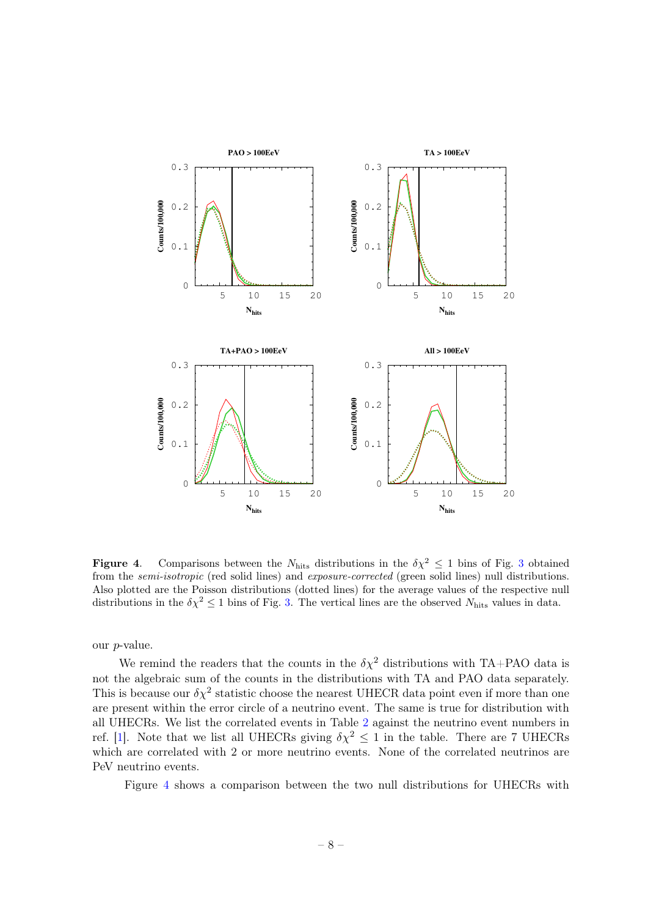

<span id="page-8-0"></span>**Figure 4.** Comparisons between the  $N_{\text{hits}}$  distributions in the  $\delta \chi^2 \leq 1$  bins of Fig. [3](#page-7-0) obtained from the semi-isotropic (red solid lines) and exposure-corrected (green solid lines) null distributions. Also plotted are the Poisson distributions (dotted lines) for the average values of the respective null distributions in the  $\delta \chi^2 \leq 1$  bins of Fig. [3.](#page-7-0) The vertical lines are the observed N<sub>hits</sub> values in data.

our p-value.

We remind the readers that the counts in the  $\delta \chi^2$  distributions with TA+PAO data is not the algebraic sum of the counts in the distributions with TA and PAO data separately. This is because our  $\delta \chi^2$  statistic choose the nearest UHECR data point even if more than one are present within the error circle of a neutrino event. The same is true for distribution with all UHECRs. We list the correlated events in Table [2](#page-9-0) against the neutrino event numbers in ref. [\[1\]](#page-20-0). Note that we list all UHECRs giving  $\delta \chi^2 \leq 1$  in the table. There are 7 UHECRs which are correlated with 2 or more neutrino events. None of the correlated neutrinos are PeV neutrino events.

Figure [4](#page-8-0) shows a comparison between the two null distributions for UHECRs with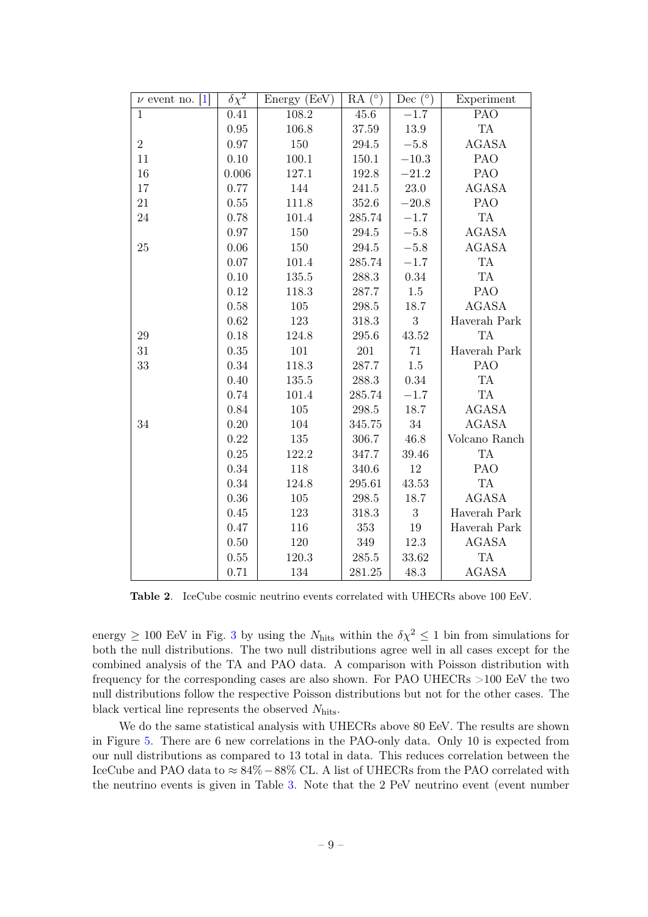| $\nu$ event no. [1] | $\delta \chi^2$ | Energy (EeV) | $RA(^{\circ})$       | Dec $(^\circ)$ | Experiment    |
|---------------------|-----------------|--------------|----------------------|----------------|---------------|
| $\mathbf{1}$        | 0.41            | 108.2        | 45.6                 | $-1.7$         | PAO           |
|                     | 0.95            | 106.8        | 37.59                | 13.9           | TA            |
| $\overline{2}$      | 0.97            | 150          | 294.5                | $-5.8$         | <b>AGASA</b>  |
| 11                  | 0.10            | 100.1        | $150.1\,$            | $-10.3$        | PAO           |
| 16                  | 0.006           | 127.1        | 192.8                | $-21.2$        | PAO           |
| $17\,$              | 0.77            | 144          | 241.5                | $23.0\,$       | <b>AGASA</b>  |
| $21\,$              | 0.55            | 111.8        | $352.6\,$            | $-20.8$        | PAO           |
| $24\,$              | 0.78            | 101.4        | 285.74               | $-1.7$         | TA            |
|                     | 0.97            | 150          | 294.5                | $-5.8$         | <b>AGASA</b>  |
| 25                  | 0.06            | 150          | 294.5                | $-5.8$         | <b>AGASA</b>  |
|                     | 0.07            | 101.4        | 285.74               | $-1.7$         | TA            |
|                     | 0.10            | 135.5        | 288.3                | 0.34           | TA            |
|                     | 0.12            | 118.3        | 287.7                | $1.5\,$        | PAO           |
|                     | 0.58            | 105          | $\boldsymbol{298.5}$ | 18.7           | <b>AGASA</b>  |
|                     | 0.62            | 123          | 318.3                | $\sqrt{3}$     | Haverah Park  |
| 29                  | 0.18            | 124.8        | 295.6                | 43.52          | <b>TA</b>     |
| 31                  | 0.35            | 101          | $201\,$              | $71\,$         | Haverah Park  |
| 33                  | 0.34            | 118.3        | 287.7                | $1.5\,$        | PAO           |
|                     | 0.40            | 135.5        | 288.3                | 0.34           | <b>TA</b>     |
|                     | 0.74            | 101.4        | 285.74               | $-1.7$         | <b>TA</b>     |
|                     | 0.84            | 105          | 298.5                | 18.7           | <b>AGASA</b>  |
| 34                  | $0.20\,$        | 104          | 345.75               | $34\,$         | <b>AGASA</b>  |
|                     | 0.22            | 135          | 306.7                | 46.8           | Volcano Ranch |
|                     | 0.25            | 122.2        | 347.7                | 39.46          | TA            |
|                     | 0.34            | 118          | $340.6\,$            | 12             | PAO           |
|                     | 0.34            | 124.8        | 295.61               | 43.53          | <b>TA</b>     |
|                     | 0.36            | 105          | 298.5                | 18.7           | <b>AGASA</b>  |
|                     | 0.45            | 123          | 318.3                | 3              | Haverah Park  |
|                     | 0.47            | 116          | 353                  | 19             | Haverah Park  |
|                     | 0.50            | 120          | 349                  | 12.3           | <b>AGASA</b>  |
|                     | 0.55            | 120.3        | 285.5                | 33.62          | <b>TA</b>     |
|                     | 0.71            | 134          | 281.25               | 48.3           | <b>AGASA</b>  |

<span id="page-9-0"></span>Table 2. IceCube cosmic neutrino events correlated with UHECRs above 100 EeV.

energy  $\geq 100$  EeV in Fig. [3](#page-7-0) by using the  $N_{\text{hits}}$  within the  $\delta \chi^2 \leq 1$  bin from simulations for both the null distributions. The two null distributions agree well in all cases except for the combined analysis of the TA and PAO data. A comparison with Poisson distribution with frequency for the corresponding cases are also shown. For PAO UHECRs >100 EeV the two null distributions follow the respective Poisson distributions but not for the other cases. The black vertical line represents the observed  $N_{\text{hits}}$ .

We do the same statistical analysis with UHECRs above 80 EeV. The results are shown in Figure [5.](#page-10-0) There are 6 new correlations in the PAO-only data. Only 10 is expected from our null distributions as compared to 13 total in data. This reduces correlation between the IceCube and PAO data to ≈ 84%−88% CL. A list of UHECRs from the PAO correlated with the neutrino events is given in Table [3.](#page-11-1) Note that the 2 PeV neutrino event (event number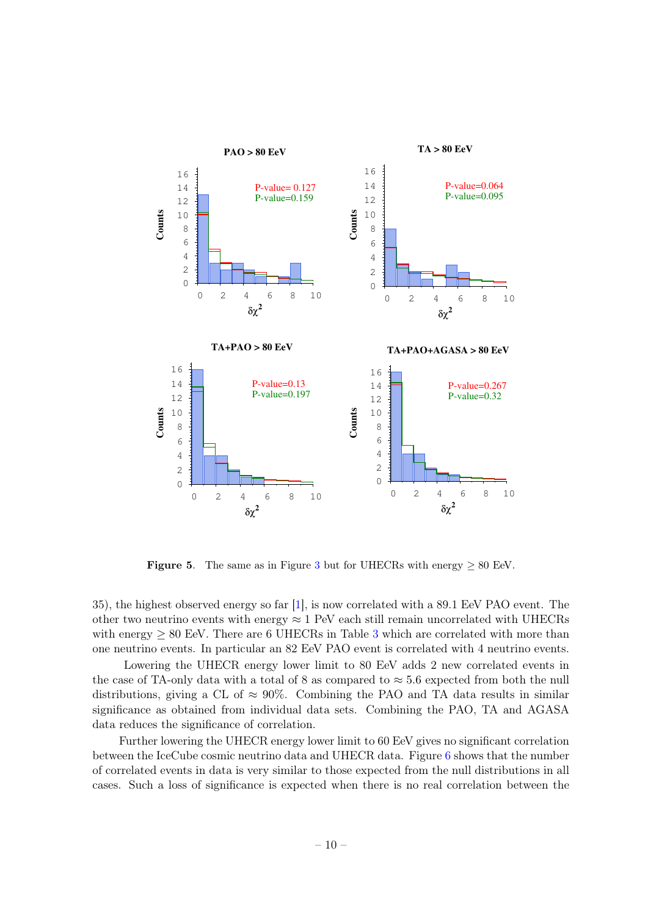

<span id="page-10-0"></span>Figure 5. The same as in Figure [3](#page-7-0) but for UHECRs with energy  $\geq 80$  EeV.

35), the highest observed energy so far [\[1\]](#page-20-0), is now correlated with a 89.1 EeV PAO event. The other two neutrino events with energy  $\approx 1$  PeV each still remain uncorrelated with UHECRs with energy  $\geq 80$  EeV. There are 6 UHECRs in Table [3](#page-11-1) which are correlated with more than one neutrino events. In particular an 82 EeV PAO event is correlated with 4 neutrino events.

Lowering the UHECR energy lower limit to 80 EeV adds 2 new correlated events in the case of TA-only data with a total of 8 as compared to  $\approx$  5.6 expected from both the null distributions, giving a CL of  $\approx 90\%$ . Combining the PAO and TA data results in similar significance as obtained from individual data sets. Combining the PAO, TA and AGASA data reduces the significance of correlation.

Further lowering the UHECR energy lower limit to 60 EeV gives no significant correlation between the IceCube cosmic neutrino data and UHECR data. Figure [6](#page-12-1) shows that the number of correlated events in data is very similar to those expected from the null distributions in all cases. Such a loss of significance is expected when there is no real correlation between the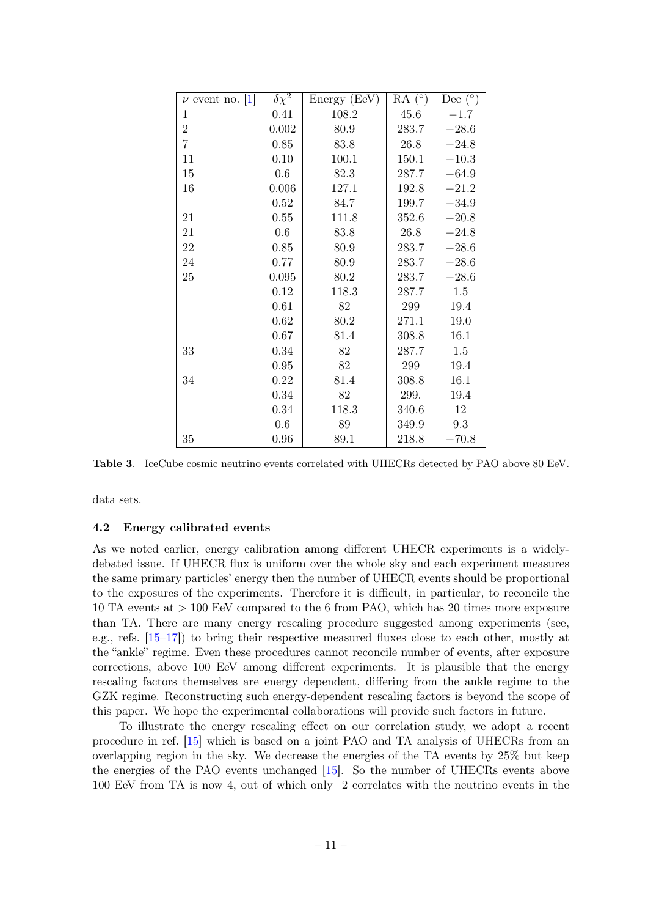| $\nu$ event no. [1] | $\delta \chi^2$ | Energy (EeV) | $RA(^{\circ})$ | Dec $(^\circ)$ |
|---------------------|-----------------|--------------|----------------|----------------|
| $\mathbf{1}$        | 0.41            | 108.2        | 45.6           | $-1.7$         |
| $\boldsymbol{2}$    | 0.002           | 80.9         | 283.7          | $-28.6$        |
| $\overline{7}$      | 0.85            | 83.8         | 26.8           | $-24.8$        |
| 11                  | 0.10            | 100.1        | 150.1          | $-10.3$        |
| 15                  | 0.6             | 82.3         | 287.7          | $-64.9$        |
| 16                  | 0.006           | 127.1        | 192.8          | $-21.2$        |
|                     | 0.52            | 84.7         | 199.7          | $-34.9$        |
| 21                  | 0.55            | 111.8        | 352.6          | $-20.8$        |
| 21                  | 0.6             | 83.8         | 26.8           | $-24.8$        |
| 22                  | 0.85            | 80.9         | 283.7          | $-28.6$        |
| 24                  | 0.77            | 80.9         | 283.7          | $-28.6$        |
| 25                  | 0.095           | 80.2         | 283.7          | $-28.6$        |
|                     | 0.12            | 118.3        | 287.7          | 1.5            |
|                     | 0.61            | 82           | 299            | 19.4           |
|                     | 0.62            | 80.2         | 271.1          | 19.0           |
|                     | 0.67            | 81.4         | 308.8          | 16.1           |
| 33                  | 0.34            | 82           | 287.7          | 1.5            |
|                     | 0.95            | 82           | 299            | 19.4           |
| 34                  | 0.22            | 81.4         | 308.8          | 16.1           |
|                     | 0.34            | 82           | 299.           | 19.4           |
|                     | 0.34            | 118.3        | 340.6          | 12             |
|                     | 0.6             | 89           | 349.9          | 9.3            |
| 35                  | 0.96            | 89.1         | 218.8          | $-70.8$        |

<span id="page-11-1"></span>Table 3. IceCube cosmic neutrino events correlated with UHECRs detected by PAO above 80 EeV.

data sets.

## <span id="page-11-0"></span>4.2 Energy calibrated events

As we noted earlier, energy calibration among different UHECR experiments is a widelydebated issue. If UHECR flux is uniform over the whole sky and each experiment measures the same primary particles' energy then the number of UHECR events should be proportional to the exposures of the experiments. Therefore it is difficult, in particular, to reconcile the 10 TA events at > 100 EeV compared to the 6 from PAO, which has 20 times more exposure than TA. There are many energy rescaling procedure suggested among experiments (see, e.g., refs. [\[15](#page-20-14)[–17\]](#page-21-1)) to bring their respective measured fluxes close to each other, mostly at the "ankle" regime. Even these procedures cannot reconcile number of events, after exposure corrections, above 100 EeV among different experiments. It is plausible that the energy rescaling factors themselves are energy dependent, differing from the ankle regime to the GZK regime. Reconstructing such energy-dependent rescaling factors is beyond the scope of this paper. We hope the experimental collaborations will provide such factors in future.

To illustrate the energy rescaling effect on our correlation study, we adopt a recent procedure in ref. [\[15\]](#page-20-14) which is based on a joint PAO and TA analysis of UHECRs from an overlapping region in the sky. We decrease the energies of the TA events by 25% but keep the energies of the PAO events unchanged [\[15\]](#page-20-14). So the number of UHECRs events above 100 EeV from TA is now 4, out of which only 2 correlates with the neutrino events in the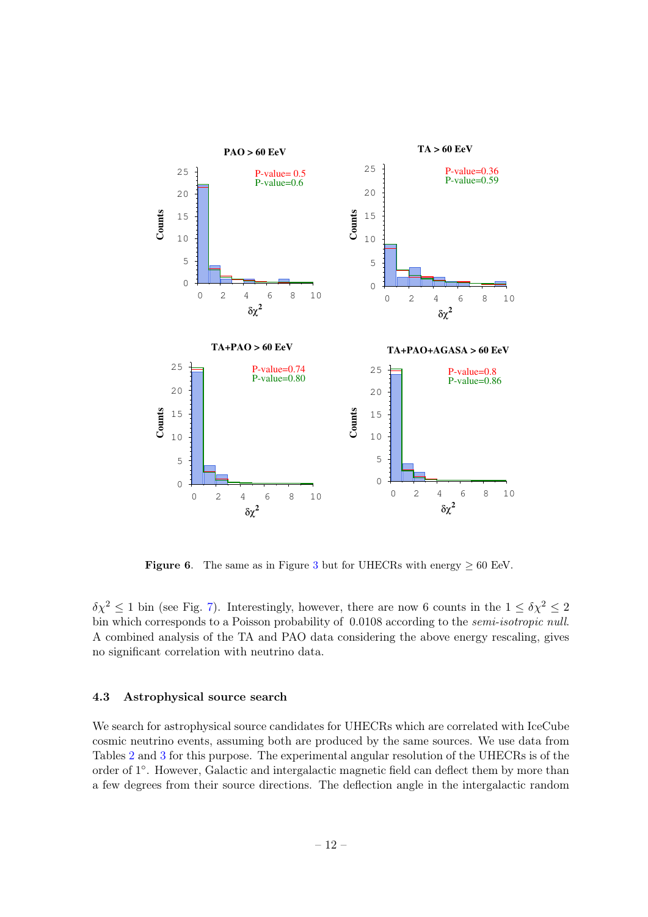

<span id="page-12-1"></span>Figure 6. The same as in Figure [3](#page-7-0) but for UHECRs with energy  $\geq 60$  EeV.

 $\delta \chi^2 \leq 1$  bin (see Fig. [7\)](#page-13-0). Interestingly, however, there are now 6 counts in the  $1 \leq \delta \chi^2 \leq 2$ bin which corresponds to a Poisson probability of 0.0108 according to the *semi-isotropic null*. A combined analysis of the TA and PAO data considering the above energy rescaling, gives no significant correlation with neutrino data.

## <span id="page-12-0"></span>4.3 Astrophysical source search

We search for astrophysical source candidates for UHECRs which are correlated with IceCube cosmic neutrino events, assuming both are produced by the same sources. We use data from Tables [2](#page-9-0) and [3](#page-11-1) for this purpose. The experimental angular resolution of the UHECRs is of the order of 1<sup>°</sup>. However, Galactic and intergalactic magnetic field can deflect them by more than a few degrees from their source directions. The deflection angle in the intergalactic random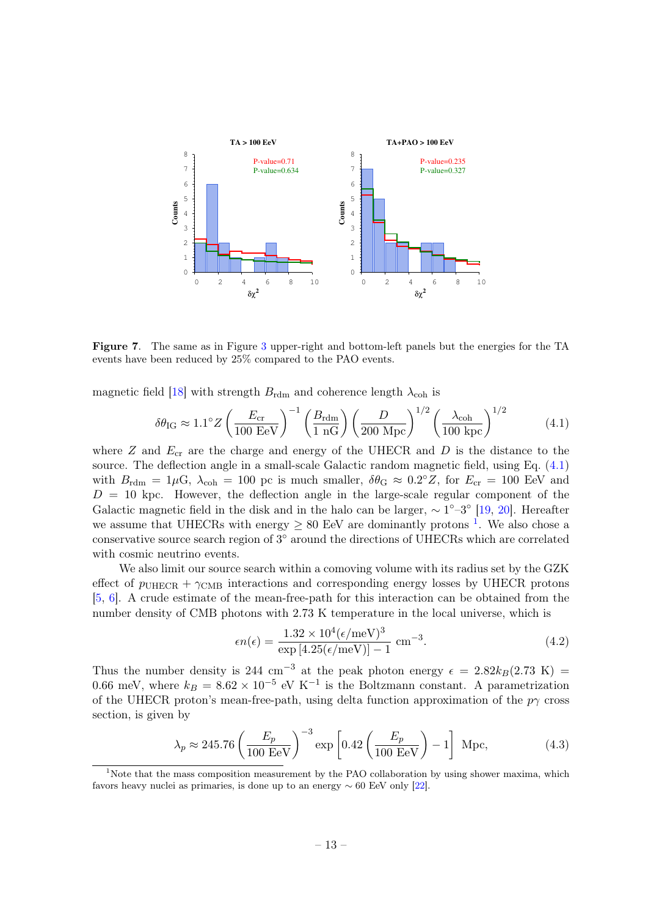

<span id="page-13-0"></span>Figure 7. The same as in Figure [3](#page-7-0) upper-right and bottom-left panels but the energies for the TA events have been reduced by 25% compared to the PAO events.

magnetic field [\[18\]](#page-21-2) with strength  $B_{rdm}$  and coherence length  $\lambda_{coh}$  is

<span id="page-13-1"></span>
$$
\delta\theta_{\rm IG} \approx 1.1^{\circ} Z \left(\frac{E_{\rm cr}}{100 \text{ EeV}}\right)^{-1} \left(\frac{B_{\rm rdm}}{1 \text{ nG}}\right) \left(\frac{D}{200 \text{ Mpc}}\right)^{1/2} \left(\frac{\lambda_{\rm coh}}{100 \text{ kpc}}\right)^{1/2} \tag{4.1}
$$

where  $Z$  and  $E_{cr}$  are the charge and energy of the UHECR and  $D$  is the distance to the source. The deflection angle in a small-scale Galactic random magnetic field, using Eq. [\(4.1\)](#page-13-1) with  $B_{\text{rdm}} = 1 \mu\text{G}$ ,  $\lambda_{\text{coh}} = 100$  pc is much smaller,  $\delta\theta_{\text{G}} \approx 0.2^{\circ} Z$ , for  $E_{\text{cr}} = 100$  EeV and  $D = 10$  kpc. However, the deflection angle in the large-scale regular component of the Galactic magnetic field in the disk and in the halo can be larger,  $\sim 1^{\circ}-3^{\circ}$  [\[19,](#page-21-3) [20\]](#page-21-4). Hereafter we assume that UHECRs with energy  $\geq 80$  EeV are dominantly protons <sup>[1](#page-13-2)</sup>. We also chose a conservative source search region of  $3^{\circ}$  around the directions of UHECRs which are correlated with cosmic neutrino events.

We also limit our source search within a comoving volume with its radius set by the GZK effect of  $p_{\text{UHECR}} + \gamma_{\text{CMB}}$  interactions and corresponding energy losses by UHECR protons [\[5,](#page-20-4) [6\]](#page-20-5). A crude estimate of the mean-free-path for this interaction can be obtained from the number density of CMB photons with 2.73 K temperature in the local universe, which is

$$
\epsilon n(\epsilon) = \frac{1.32 \times 10^4 (\epsilon/\text{meV})^3}{\text{exp}\left[4.25(\epsilon/\text{meV})\right] - 1} \text{ cm}^{-3}.
$$
\n(4.2)

Thus the number density is 244 cm<sup>-3</sup> at the peak photon energy  $\epsilon = 2.82 k_B(2.73 \text{ K}) =$ 0.66 meV, where  $k_B = 8.62 \times 10^{-5}$  eV K<sup>-1</sup> is the Boltzmann constant. A parametrization of the UHECR proton's mean-free-path, using delta function approximation of the  $p\gamma$  cross section, is given by

$$
\lambda_p \approx 245.76 \left(\frac{E_p}{100 \text{ EeV}}\right)^{-3} \exp\left[0.42 \left(\frac{E_p}{100 \text{ EeV}}\right) - 1\right] \text{ Mpc},\tag{4.3}
$$

<span id="page-13-2"></span><sup>&</sup>lt;sup>1</sup>Note that the mass composition measurement by the PAO collaboration by using shower maxima, which favors heavy nuclei as primaries, is done up to an energy  $\sim 60$  EeV only [\[22\]](#page-21-5).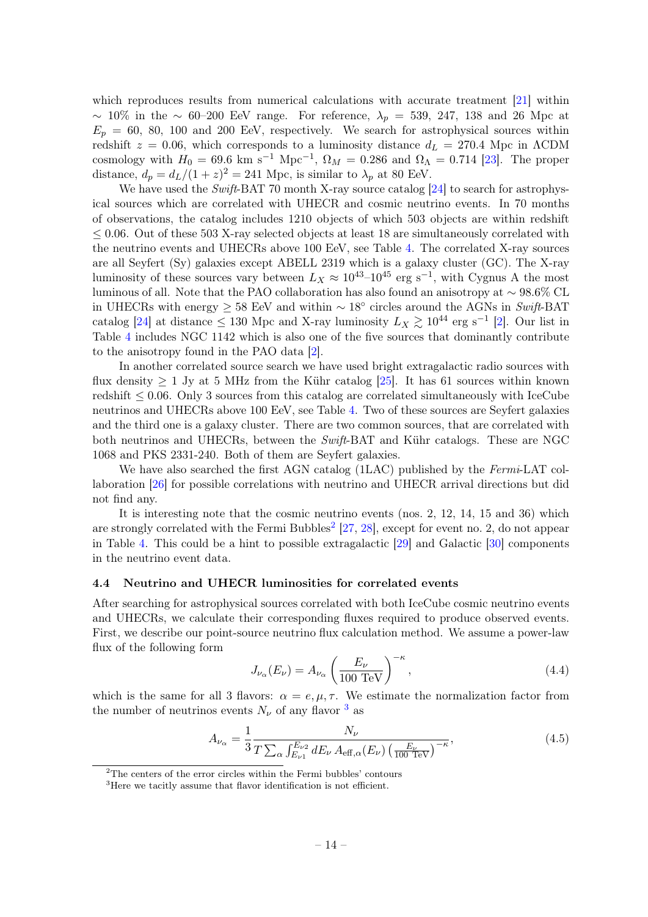which reproduces results from numerical calculations with accurate treatment [\[21\]](#page-21-6) within  $\sim$  10% in the  $\sim$  60–200 EeV range. For reference,  $\lambda_p = 539, 247, 138$  and 26 Mpc at  $E_p = 60, 80, 100$  and 200 EeV, respectively. We search for astrophysical sources within redshift  $z = 0.06$ , which corresponds to a luminosity distance  $d_L = 270.4$  Mpc in  $\Lambda$ CDM cosmology with  $H_0 = 69.6$  km s<sup>-1</sup> Mpc<sup>-1</sup>,  $\Omega_M = 0.286$  and  $\Omega_{\Lambda} = 0.714$  [\[23\]](#page-21-7). The proper distance,  $d_p = d_L/(1+z)^2 = 241$  Mpc, is similar to  $\lambda_p$  at 80 EeV.

We have used the Swift-BAT 70 month X-ray source catalog [\[24\]](#page-21-8) to search for astrophysical sources which are correlated with UHECR and cosmic neutrino events. In 70 months of observations, the catalog includes 1210 objects of which 503 objects are within redshift ≤ 0.06. Out of these 503 X-ray selected objects at least 18 are simultaneously correlated with the neutrino events and UHECRs above 100 EeV, see Table [4.](#page-15-0) The correlated X-ray sources are all Seyfert (Sy) galaxies except ABELL 2319 which is a galaxy cluster (GC). The X-ray luminosity of these sources vary between  $L_X \approx 10^{43}$ – $10^{45}$  erg s<sup>-1</sup>, with Cygnus A the most luminous of all. Note that the PAO collaboration has also found an anisotropy at ∼ 98.6% CL in UHECRs with energy  $\geq$  58 EeV and within  $\sim$  18<sup>°</sup> circles around the AGNs in Swift-BAT catalog [\[24\]](#page-21-8) at distance  $\leq 130$  Mpc and X-ray luminosity  $L_X \gtrsim 10^{44}$  erg s<sup>-1</sup> [\[2\]](#page-20-1). Our list in Table [4](#page-15-0) includes NGC 1142 which is also one of the five sources that dominantly contribute to the anisotropy found in the PAO data [\[2\]](#page-20-1).

In another correlated source search we have used bright extragalactic radio sources with flux density  $> 1$  Jy at 5 MHz from the Kühr catalog [\[25\]](#page-21-9). It has 61 sources within known redshift  $\leq 0.06$ . Only 3 sources from this catalog are correlated simultaneously with IceCube neutrinos and UHECRs above 100 EeV, see Table [4.](#page-15-0) Two of these sources are Seyfert galaxies and the third one is a galaxy cluster. There are two common sources, that are correlated with both neutrinos and UHECRs, between the Swift-BAT and Kühr catalogs. These are NGC 1068 and PKS 2331-240. Both of them are Seyfert galaxies.

We have also searched the first AGN catalog (1LAC) published by the Fermi-LAT collaboration [\[26\]](#page-21-10) for possible correlations with neutrino and UHECR arrival directions but did not find any.

It is interesting note that the cosmic neutrino events (nos. 2, 12, 14, 15 and 36) which are strongly correlated with the Fermi Bubbles<sup>[2](#page-14-1)</sup> [\[27,](#page-21-11) [28\]](#page-21-12), except for event no. 2, do not appear in Table [4.](#page-15-0) This could be a hint to possible extragalactic [\[29\]](#page-21-13) and Galactic [\[30\]](#page-21-14) components in the neutrino event data.

## <span id="page-14-0"></span>4.4 Neutrino and UHECR luminosities for correlated events

After searching for astrophysical sources correlated with both IceCube cosmic neutrino events and UHECRs, we calculate their corresponding fluxes required to produce observed events. First, we describe our point-source neutrino flux calculation method. We assume a power-law flux of the following form

$$
J_{\nu_{\alpha}}(E_{\nu}) = A_{\nu_{\alpha}} \left(\frac{E_{\nu}}{100 \text{ TeV}}\right)^{-\kappa},\tag{4.4}
$$

which is the same for all 3 flavors:  $\alpha = e, \mu, \tau$ . We estimate the normalization factor from the number of neutrinos events  $N_{\nu}$  of any flavor <sup>[3](#page-14-2)</sup> as

<span id="page-14-3"></span>
$$
A_{\nu_{\alpha}} = \frac{1}{3} \frac{N_{\nu}}{T \sum_{\alpha} \int_{E_{\nu 1}}^{E_{\nu 2}} dE_{\nu} A_{\text{eff},\alpha}(E_{\nu}) \left(\frac{E_{\nu}}{100 \text{ TeV}}\right)^{-\kappa}},
$$
(4.5)

<span id="page-14-1"></span> $2^{\circ}$ The centers of the error circles within the Fermi bubbles' contours

<span id="page-14-2"></span><sup>&</sup>lt;sup>3</sup>Here we tacitly assume that flavor identification is not efficient.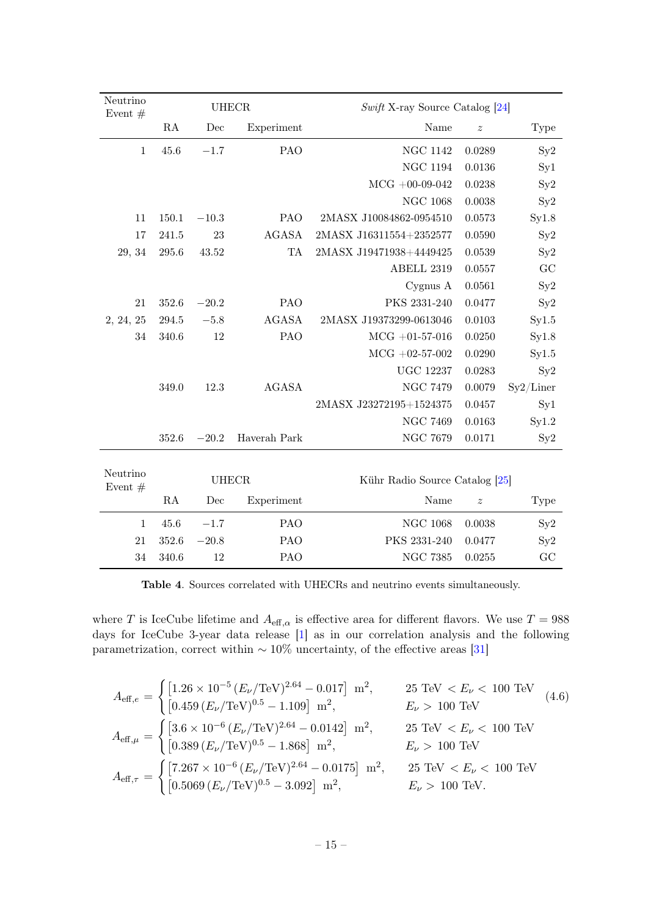| Neutrino<br>Event $#$ | <b>UHECR</b> |         |              | $Swift$ X-ray Source Catalog [24] |                  |             |  |
|-----------------------|--------------|---------|--------------|-----------------------------------|------------------|-------------|--|
|                       | RA           | Dec     | Experiment   | Name                              | $\boldsymbol{z}$ | <b>Type</b> |  |
| $\mathbf{1}$          | 45.6         | $-1.7$  | PAO          | <b>NGC 1142</b>                   | 0.0289           | Sy2         |  |
|                       |              |         |              | <b>NGC 1194</b>                   | 0.0136           | Syl         |  |
|                       |              |         |              | $MCG +00-09-042$                  | 0.0238           | $S_y2$      |  |
|                       |              |         |              | <b>NGC 1068</b>                   | 0.0038           | Sy2         |  |
| 11                    | 150.1        | $-10.3$ | <b>PAO</b>   | 2MASX J10084862-0954510           | 0.0573           | Syl.8       |  |
| 17                    | 241.5        | 23      | <b>AGASA</b> | 2MASX J16311554+2352577           | 0.0590           | Sy2         |  |
| 29, 34                | 295.6        | 43.52   | <b>TA</b>    | 2MASX J19471938+4449425           | 0.0539           | $S_y2$      |  |
|                       |              |         |              | ABELL 2319                        | 0.0557           | GC          |  |
|                       |              |         |              | Cygnus A                          | 0.0561           | Sy2         |  |
| 21                    | 352.6        | $-20.2$ | <b>PAO</b>   | PKS 2331-240                      | 0.0477           | Sy2         |  |
| 2, 24, 25             | 294.5        | $-5.8$  | AGASA        | 2MASX J19373299-0613046           | 0.0103           | Sy1.5       |  |
| 34                    | 340.6        | 12      | PAO          | $\rm{MCG}$ +01-57-016             | 0.0250           | Syl.8       |  |
|                       |              |         |              | $MCG +02-57-002$                  | 0.0290           | Sy1.5       |  |
|                       |              |         |              | <b>UGC 12237</b>                  | 0.0283           | $S_y2$      |  |
|                       | 349.0        | 12.3    | <b>AGASA</b> | <b>NGC 7479</b>                   | 0.0079           | Sy2/Liner   |  |
|                       |              |         |              | 2MASX J23272195+1524375           | 0.0457           | $S_{y1}$    |  |
|                       |              |         |              | <b>NGC 7469</b>                   | 0.0163           | Syl.2       |  |
|                       | 352.6        | $-20.2$ | Haverah Park | <b>NGC 7679</b>                   | 0.0171           | Sy2         |  |
|                       |              |         |              |                                   |                  |             |  |
| Neutrino<br>Event $#$ | <b>UHECR</b> |         |              | Kühr Radio Source Catalog [25]    |                  |             |  |
|                       | RA           | Dec     | Experiment   | Name                              | $\boldsymbol{z}$ | Type        |  |

|  |          | $45.6 -1.7$                  | PAO | NGC 1068 0.0038     | Sy2 |
|--|----------|------------------------------|-----|---------------------|-----|
|  |          | $21 \quad 352.6 \quad -20.8$ | PAO | PKS 2331-240 0.0477 | Sy2 |
|  | 34 340.6 | 12                           | PAO | NGC 7385 0.0255     | GС  |
|  |          |                              |     |                     |     |

<span id="page-15-0"></span>Table 4. Sources correlated with UHECRs and neutrino events simultaneously.

where T is IceCube lifetime and  $A_{\text{eff},\alpha}$  is effective area for different flavors. We use  $T = 988$ days for IceCube 3-year data release [\[1\]](#page-20-0) as in our correlation analysis and the following parametrization, correct within  $\sim 10\%$  uncertainty, of the effective areas [\[31\]](#page-21-15)

$$
A_{\text{eff},e} = \begin{cases} \left[1.26 \times 10^{-5} \left(E_{\nu}/\text{TeV}\right)^{2.64} - 0.017\right] \text{ m}^2, & 25 \text{ TeV} < E_{\nu} < 100 \text{ TeV} \\ \left[0.459 \left(E_{\nu}/\text{TeV}\right)^{0.5} - 1.109\right] \text{ m}^2, & E_{\nu} > 100 \text{ TeV} \end{cases} \quad (4.6)
$$
\n
$$
A_{\text{eff},\mu} = \begin{cases} \left[3.6 \times 10^{-6} \left(E_{\nu}/\text{TeV}\right)^{2.64} - 0.0142\right] \text{ m}^2, & 25 \text{ TeV} < E_{\nu} < 100 \text{ TeV} \\ \left[0.389 \left(E_{\nu}/\text{TeV}\right)^{0.5} - 1.868\right] \text{ m}^2, & E_{\nu} > 100 \text{ TeV} \end{cases}
$$
\n
$$
A_{\text{eff},\tau} = \begin{cases} \left[7.267 \times 10^{-6} \left(E_{\nu}/\text{TeV}\right)^{2.64} - 0.0175\right] \text{ m}^2, & 25 \text{ TeV} < E_{\nu} < 100 \text{ TeV} \\ \left[0.5069 \left(E_{\nu}/\text{TeV}\right)^{0.5} - 3.092\right] \text{ m}^2, & E_{\nu} > 100 \text{ TeV}. \end{cases}
$$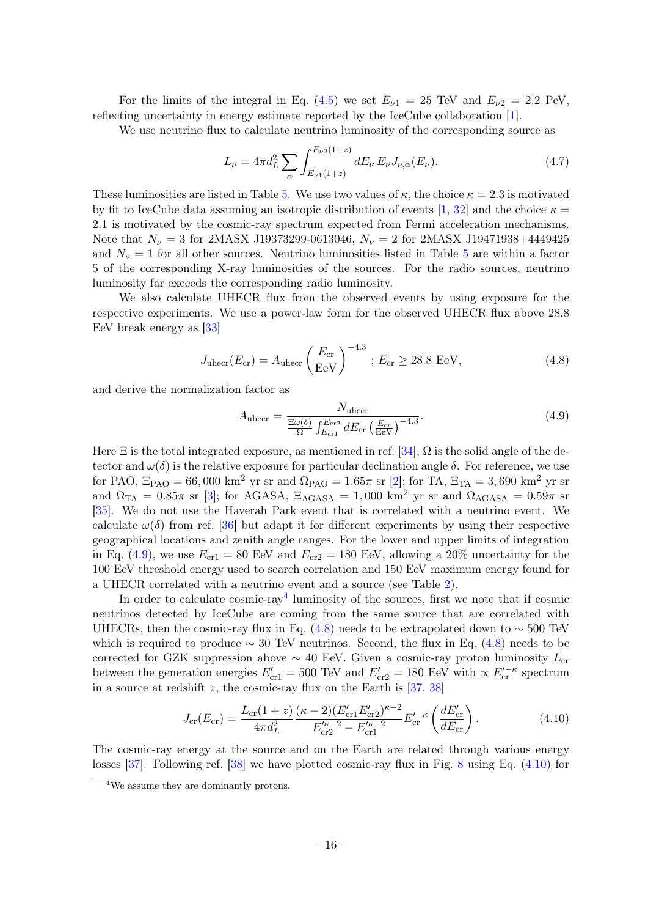For the limits of the integral in Eq. [\(4.5\)](#page-14-3) we set  $E_{\nu 1} = 25$  TeV and  $E_{\nu 2} = 2.2$  PeV, reflecting uncertainty in energy estimate reported by the IceCube collaboration [\[1\]](#page-20-0).

We use neutrino flux to calculate neutrino luminosity of the corresponding source as

$$
L_{\nu} = 4\pi d_L^2 \sum_{\alpha} \int_{E_{\nu 1}(1+z)}^{E_{\nu 2}(1+z)} dE_{\nu} E_{\nu} J_{\nu,\alpha}(E_{\nu}).
$$
\n(4.7)

These luminosities are listed in Table [5.](#page-17-0) We use two values of  $\kappa$ , the choice  $\kappa = 2.3$  is motivated by fit to IceCube data assuming an isotropic distribution of events [\[1,](#page-20-0) [32\]](#page-21-16) and the choice  $\kappa =$ 2.1 is motivated by the cosmic-ray spectrum expected from Fermi acceleration mechanisms. Note that  $N_{\nu} = 3$  for 2MASX J19373299-0613046,  $N_{\nu} = 2$  for 2MASX J19471938+4449425 and  $N_{\nu} = 1$  for all other sources. Neutrino luminosities listed in Table [5](#page-17-0) are within a factor 5 of the corresponding X-ray luminosities of the sources. For the radio sources, neutrino luminosity far exceeds the corresponding radio luminosity.

We also calculate UHECR flux from the observed events by using exposure for the respective experiments. We use a power-law form for the observed UHECR flux above 28.8 EeV break energy as [\[33\]](#page-21-17)

<span id="page-16-2"></span>
$$
J_{\text{uhecr}}(E_{\text{cr}}) = A_{\text{uhecr}} \left(\frac{E_{\text{cr}}}{\text{EeV}}\right)^{-4.3}; E_{\text{cr}} \ge 28.8 \text{ EeV}, \tag{4.8}
$$

and derive the normalization factor as

<span id="page-16-0"></span>
$$
A_{\text{uhecr}} = \frac{N_{\text{uhecr}}}{\frac{\Xi\omega(\delta)}{\Omega} \int_{E_{\text{cr1}}}^{E_{\text{cr2}}} dE_{\text{cr}} \left(\frac{E_{\text{cr}}}{\text{EeV}}\right)^{-4.3}}.
$$
(4.9)

Here  $\Xi$  is the total integrated exposure, as mentioned in ref. [\[34\]](#page-21-18),  $\Omega$  is the solid angle of the detector and  $\omega(\delta)$  is the relative exposure for particular declination angle  $\delta$ . For reference, we use for PAO,  $\Xi_{\text{PAO}} = 66,000 \text{ km}^2 \text{ yr}$  sr and  $\Omega_{\text{PAO}} = 1.65\pi$  sr [\[2\]](#page-20-1); for TA,  $\Xi_{\text{TA}} = 3,690 \text{ km}^2 \text{ yr}$  sr and  $\Omega_{TA} = 0.85\pi$  sr [\[3\]](#page-20-2); for AGASA,  $\Xi_{AGASA} = 1,000$  km<sup>2</sup> yr sr and  $\Omega_{AGASA} = 0.59\pi$  sr [\[35\]](#page-21-19). We do not use the Haverah Park event that is correlated with a neutrino event. We calculate  $\omega(\delta)$  from ref. [\[36\]](#page-21-0) but adapt it for different experiments by using their respective geographical locations and zenith angle ranges. For the lower and upper limits of integration in Eq. [\(4.9\)](#page-16-0), we use  $E_{cr1} = 80$  EeV and  $E_{cr2} = 180$  EeV, allowing a 20% uncertainty for the 100 EeV threshold energy used to search correlation and 150 EeV maximum energy found for a UHECR correlated with a neutrino event and a source (see Table [2\)](#page-9-0).

In order to calculate  $\text{cosmic-ray}^4$  $\text{cosmic-ray}^4$  luminosity of the sources, first we note that if  $\text{cosmic}$ neutrinos detected by IceCube are coming from the same source that are correlated with UHECRs, then the cosmic-ray flux in Eq. [\(4.8\)](#page-16-2) needs to be extrapolated down to  $\sim$  500 TeV which is required to produce  $\sim 30$  TeV neutrinos. Second, the flux in Eq. [\(4.8\)](#page-16-2) needs to be corrected for GZK suppression above  $\sim$  40 EeV. Given a cosmic-ray proton luminosity  $L_{\rm cr}$ between the generation energies  $E'_{cr1} = 500$  TeV and  $E'_{cr2} = 180$  EeV with  $\propto E'^{-\kappa}_{cr}$  spectrum in a source at redshift z, the cosmic-ray flux on the Earth is  $[37, 38]$  $[37, 38]$ 

<span id="page-16-3"></span>
$$
J_{\rm cr}(E_{\rm cr}) = \frac{L_{\rm cr}(1+z)}{4\pi d_L^2} \frac{(\kappa - 2)(E_{\rm cr1}' E_{\rm cr2}')^{\kappa - 2}}{E_{\rm cr2}'^{\kappa - 2} - E_{\rm cr1}^{\kappa - 2}} E_{\rm cr}^{\prime - \kappa} \left(\frac{dE_{\rm cr}'}{dE_{\rm cr}}\right). \tag{4.10}
$$

The cosmic-ray energy at the source and on the Earth are related through various energy losses [\[37\]](#page-21-20). Following ref. [\[38\]](#page-21-21) we have plotted cosmic-ray flux in Fig. [8](#page-18-1) using Eq. [\(4.10\)](#page-16-3) for

<span id="page-16-1"></span><sup>4</sup>We assume they are dominantly protons.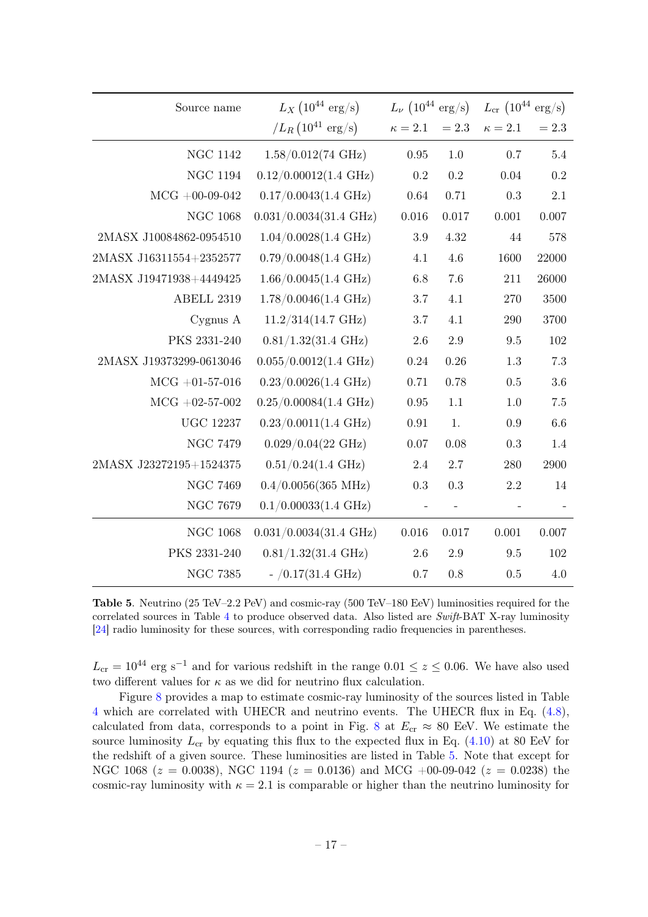| Source name             | $L_X (10^{44} \text{ erg/s})$    |              | $L_{\nu}$ $(10^{44} \text{ erg/s})$ |              | $L_{cr}$ (10 <sup>44</sup> erg/s) |  |  |
|-------------------------|----------------------------------|--------------|-------------------------------------|--------------|-----------------------------------|--|--|
|                         | $/L_R$ (10 <sup>41</sup> erg/s)  | $\kappa=2.1$ | $=2.3$                              | $\kappa=2.1$ | $= 2.3$                           |  |  |
| $\rm NGC$ 1142          | $1.58/0.012(74 \text{ GHz})$     | 0.95         | $1.0\,$                             | 0.7          | $5.4\,$                           |  |  |
| <b>NGC 1194</b>         | $0.12/0.00012(1.4 \text{ GHz})$  | 0.2          | 0.2                                 | 0.04         | 0.2                               |  |  |
| $MCG +00-09-042$        | $0.17/0.0043(1.4 \text{ GHz})$   | 0.64         | 0.71                                | 0.3          | 2.1                               |  |  |
| $\rm NGC$ 1068          | $0.031/0.0034(31.4 \text{ GHz})$ | 0.016        | 0.017                               | $0.001\,$    | 0.007                             |  |  |
| 2MASX J10084862-0954510 | $1.04/0.0028(1.4 \text{ GHz})$   | $3.9\,$      | 4.32                                | 44           | 578                               |  |  |
| 2MASX J16311554+2352577 | $0.79/0.0048(1.4 \text{ GHz})$   | 4.1          | 4.6                                 | 1600         | 22000                             |  |  |
| 2MASX J19471938+4449425 | $1.66/0.0045(1.4 \text{ GHz})$   | $6.8\,$      | 7.6                                 | 211          | 26000                             |  |  |
| ABELL 2319              | $1.78/0.0046(1.4 \text{ GHz})$   | 3.7          | 4.1                                 | 270          | 3500                              |  |  |
| Cyg <sub>mus</sub> A    | $11.2/314(14.7 \text{ GHz})$     | $3.7\,$      | 4.1                                 | 290          | 3700                              |  |  |
| PKS 2331-240            | $0.81/1.32(31.4 \text{ GHz})$    | 2.6          | 2.9                                 | 9.5          | 102                               |  |  |
| 2MASX J19373299-0613046 | $0.055/0.0012(1.4 \text{ GHz})$  | 0.24         | 0.26                                | 1.3          | 7.3                               |  |  |
| $MCG + 01-57-016$       | $0.23/0.0026(1.4 \text{ GHz})$   | 0.71         | 0.78                                | 0.5          | 3.6                               |  |  |
| $MCG +02-57-002$        | $0.25/0.00084(1.4 \text{ GHz})$  | $\rm 0.95$   | 1.1                                 | $1.0\,$      | $7.5\,$                           |  |  |
| <b>UGC 12237</b>        | $0.23/0.0011(1.4 \text{ GHz})$   | 0.91         | 1.                                  | 0.9          | 6.6                               |  |  |
| <b>NGC 7479</b>         | $0.029/0.04(22 \text{ GHz})$     | 0.07         | 0.08                                | 0.3          | 1.4                               |  |  |
| 2MASX J23272195+1524375 | $0.51/0.24(1.4 \text{ GHz})$     | 2.4          | 2.7                                 | $280\,$      | 2900                              |  |  |
| <b>NGC 7469</b>         | $0.4/0.0056(365 \text{ MHz})$    | 0.3          | 0.3                                 | 2.2          | 14                                |  |  |
| NGC $7679$              | $0.1/0.00033(1.4 \text{ GHz})$   |              |                                     |              |                                   |  |  |
| $\rm NGC~1068$          | $0.031/0.0034(31.4 \text{ GHz})$ | 0.016        | 0.017                               | 0.001        | 0.007                             |  |  |
| PKS 2331-240            | $0.81/1.32(31.4 \text{ GHz})$    | $2.6\,$      | $2.9\,$                             | 9.5          | 102                               |  |  |
| <b>NGC 7385</b>         | $-$ /0.17(31.4 GHz)              | 0.7          | 0.8                                 | 0.5          | 4.0                               |  |  |

<span id="page-17-0"></span>Table 5. Neutrino (25 TeV–2.2 PeV) and cosmic-ray (500 TeV–180 EeV) luminosities required for the correlated sources in Table [4](#page-15-0) to produce observed data. Also listed are Swift-BAT X-ray luminosity [\[24\]](#page-21-8) radio luminosity for these sources, with corresponding radio frequencies in parentheses.

 $L_{\rm cr} = 10^{44}$  erg s<sup>-1</sup> and for various redshift in the range 0.01 ≤ z ≤ 0.06. We have also used two different values for  $\kappa$  as we did for neutrino flux calculation.

Figure [8](#page-18-1) provides a map to estimate cosmic-ray luminosity of the sources listed in Table [4](#page-15-0) which are correlated with UHECR and neutrino events. The UHECR flux in Eq. [\(4.8\)](#page-16-2), calculated from data, corresponds to a point in Fig. [8](#page-18-1) at  $E_{cr} \approx 80$  EeV. We estimate the source luminosity  $L_{cr}$  by equating this flux to the expected flux in Eq. [\(4.10\)](#page-16-3) at 80 EeV for the redshift of a given source. These luminosities are listed in Table [5.](#page-17-0) Note that except for NGC 1068 ( $z = 0.0038$ ), NGC 1194 ( $z = 0.0136$ ) and MCG +00-09-042 ( $z = 0.0238$ ) the cosmic-ray luminosity with  $\kappa = 2.1$  is comparable or higher than the neutrino luminosity for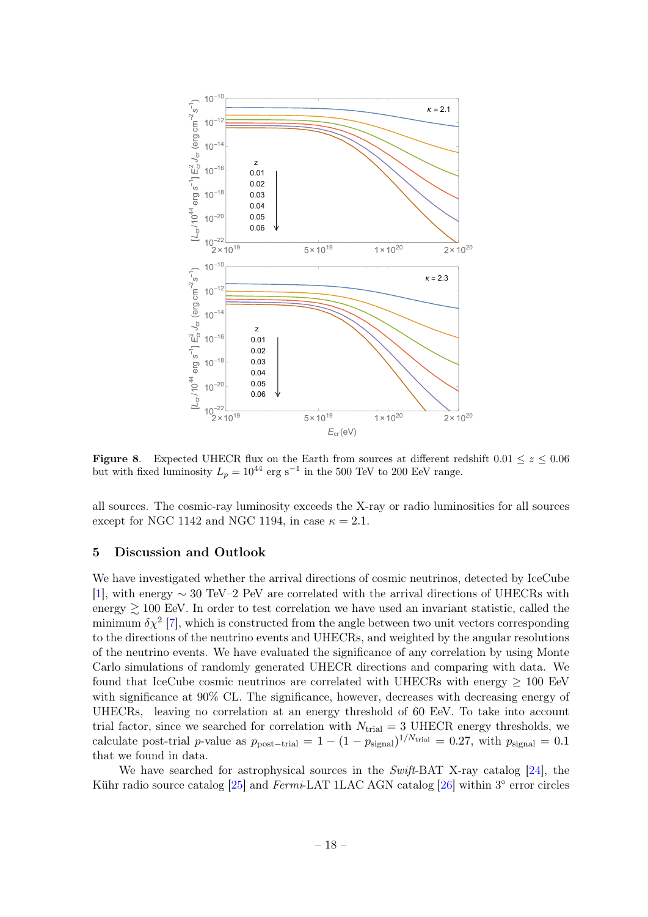

<span id="page-18-1"></span>**Figure 8.** Expected UHECR flux on the Earth from sources at different redshift  $0.01 \le z \le 0.06$ but with fixed luminosity  $L_p = 10^{44}$  erg s<sup>-1</sup> in the 500 TeV to 200 EeV range.

all sources. The cosmic-ray luminosity exceeds the X-ray or radio luminosities for all sources except for NGC 1142 and NGC 1194, in case  $\kappa = 2.1$ .

## <span id="page-18-0"></span>5 Discussion and Outlook

We have investigated whether the arrival directions of cosmic neutrinos, detected by IceCube [\[1\]](#page-20-0), with energy ∼ 30 TeV–2 PeV are correlated with the arrival directions of UHECRs with energy  $\gtrsim$  100 EeV. In order to test correlation we have used an invariant statistic, called the minimum  $\delta \chi^2$  [\[7\]](#page-20-6), which is constructed from the angle between two unit vectors corresponding to the directions of the neutrino events and UHECRs, and weighted by the angular resolutions of the neutrino events. We have evaluated the significance of any correlation by using Monte Carlo simulations of randomly generated UHECR directions and comparing with data. We found that IceCube cosmic neutrinos are correlated with UHECRs with energy  $\geq 100$  EeV with significance at 90% CL. The significance, however, decreases with decreasing energy of UHECRs, leaving no correlation at an energy threshold of 60 EeV. To take into account trial factor, since we searched for correlation with  $N_{\text{trial}} = 3$  UHECR energy thresholds, we calculate post-trial p-value as  $p_{\text{post-trial}} = 1 - (1 - p_{\text{signal}})^{1/N_{\text{trial}}} = 0.27$ , with  $p_{\text{signal}} = 0.1$ that we found in data.

We have searched for astrophysical sources in the Swift-BAT X-ray catalog [\[24\]](#page-21-8), the Kühr radio source catalog [\[25\]](#page-21-9) and Fermi-LAT 1LAC AGN catalog [\[26\]](#page-21-10) within 3° error circles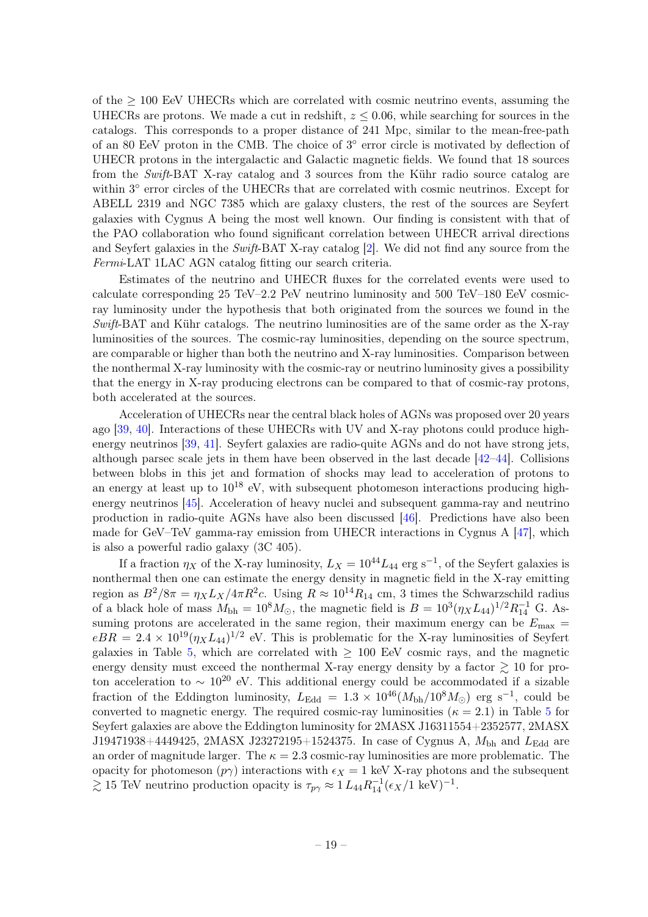of the  $\geq$  100 EeV UHECRs which are correlated with cosmic neutrino events, assuming the UHECRs are protons. We made a cut in redshift,  $z \leq 0.06$ , while searching for sources in the catalogs. This corresponds to a proper distance of 241 Mpc, similar to the mean-free-path of an 80 EeV proton in the CMB. The choice of  $3^{\circ}$  error circle is motivated by deflection of UHECR protons in the intergalactic and Galactic magnetic fields. We found that 18 sources from the Swift-BAT X-ray catalog and 3 sources from the Kühr radio source catalog are within  $3^{\circ}$  error circles of the UHECRs that are correlated with cosmic neutrinos. Except for ABELL 2319 and NGC 7385 which are galaxy clusters, the rest of the sources are Seyfert galaxies with Cygnus A being the most well known. Our finding is consistent with that of the PAO collaboration who found significant correlation between UHECR arrival directions and Seyfert galaxies in the Swift-BAT X-ray catalog [\[2\]](#page-20-1). We did not find any source from the Fermi-LAT 1LAC AGN catalog fitting our search criteria.

Estimates of the neutrino and UHECR fluxes for the correlated events were used to calculate corresponding 25 TeV–2.2 PeV neutrino luminosity and 500 TeV–180 EeV cosmicray luminosity under the hypothesis that both originated from the sources we found in the  $Swift-BAT$  and Kühr catalogs. The neutrino luminosities are of the same order as the X-ray luminosities of the sources. The cosmic-ray luminosities, depending on the source spectrum, are comparable or higher than both the neutrino and X-ray luminosities. Comparison between the nonthermal X-ray luminosity with the cosmic-ray or neutrino luminosity gives a possibility that the energy in X-ray producing electrons can be compared to that of cosmic-ray protons, both accelerated at the sources.

Acceleration of UHECRs near the central black holes of AGNs was proposed over 20 years ago [\[39,](#page-21-22) [40\]](#page-21-23). Interactions of these UHECRs with UV and X-ray photons could produce highenergy neutrinos [\[39,](#page-21-22) [41\]](#page-21-24). Seyfert galaxies are radio-quite AGNs and do not have strong jets, although parsec scale jets in them have been observed in the last decade [\[42](#page-21-25)[–44\]](#page-22-0). Collisions between blobs in this jet and formation of shocks may lead to acceleration of protons to an energy at least up to  $10^{18}$  eV, with subsequent photomeson interactions producing highenergy neutrinos [\[45\]](#page-22-1). Acceleration of heavy nuclei and subsequent gamma-ray and neutrino production in radio-quite AGNs have also been discussed [\[46\]](#page-22-2). Predictions have also been made for GeV–TeV gamma-ray emission from UHECR interactions in Cygnus A [\[47\]](#page-22-3), which is also a powerful radio galaxy (3C 405).

If a fraction  $\eta_X$  of the X-ray luminosity,  $L_X = 10^{44} L_{44}$  erg s<sup>-1</sup>, of the Seyfert galaxies is nonthermal then one can estimate the energy density in magnetic field in the X-ray emitting region as  $B^2/8\pi = \eta_X L_X/4\pi R^2c$ . Using  $R \approx 10^{14} R_{14}$  cm, 3 times the Schwarzschild radius of a black hole of mass  $M_{bh} = 10^8 M_{\odot}$ , the magnetic field is  $B = 10^3 (\eta_X L_{44})^{1/2} R_{14}^{-1}$  G. Assuming protons are accelerated in the same region, their maximum energy can be  $E_{\text{max}} =$  $eBR = 2.4 \times 10^{19} (\eta_X L_{44})^{1/2}$  eV. This is problematic for the X-ray luminosities of Seyfert galaxies in Table [5,](#page-17-0) which are correlated with  $\geq$  100 EeV cosmic rays, and the magnetic energy density must exceed the nonthermal X-ray energy density by a factor  $\gtrsim 10$  for proton acceleration to  $\sim 10^{20}$  eV. This additional energy could be accommodated if a sizable fraction of the Eddington luminosity,  $L_{\text{Edd}} = 1.3 \times 10^{46} (M_{\text{bh}}/10^8 M_{\odot})$  erg s<sup>-1</sup>, could be converted to magnetic energy. The required cosmic-ray luminosities ( $\kappa = 2.1$ ) in Table [5](#page-17-0) for Seyfert galaxies are above the Eddington luminosity for 2MASX J16311554+2352577, 2MASX J19471938+4449425, 2MASX J23272195+1524375. In case of Cygnus A,  $M_{\rm bh}$  and  $L_{\rm Edd}$  are an order of magnitude larger. The  $\kappa = 2.3$  cosmic-ray luminosities are more problematic. The opacity for photomeson  $(p\gamma)$  interactions with  $\epsilon_X = 1$  keV X-ray photons and the subsequent  $\gtrsim 15$  TeV neutrino production opacity is  $\tau_{p\gamma} \approx 1 L_{44} R_{14}^{-1} (\epsilon_X / 1 \text{ keV})^{-1}$ .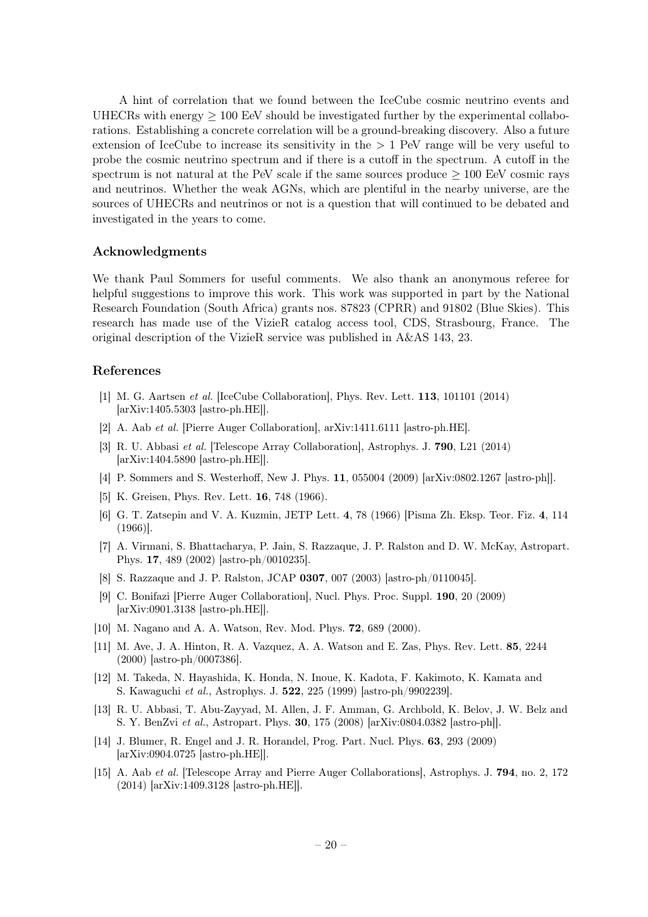A hint of correlation that we found between the IceCube cosmic neutrino events and UHECRs with energy  $> 100$  EeV should be investigated further by the experimental collaborations. Establishing a concrete correlation will be a ground-breaking discovery. Also a future extension of IceCube to increase its sensitivity in the  $> 1$  PeV range will be very useful to probe the cosmic neutrino spectrum and if there is a cutoff in the spectrum. A cutoff in the spectrum is not natural at the PeV scale if the same sources produce  $\geq 100$  EeV cosmic rays and neutrinos. Whether the weak AGNs, which are plentiful in the nearby universe, are the sources of UHECRs and neutrinos or not is a question that will continued to be debated and investigated in the years to come.

## Acknowledgments

We thank Paul Sommers for useful comments. We also thank an anonymous referee for helpful suggestions to improve this work. This work was supported in part by the National Research Foundation (South Africa) grants nos. 87823 (CPRR) and 91802 (Blue Skies). This research has made use of the VizieR catalog access tool, CDS, Strasbourg, France. The original description of the VizieR service was published in A&AS 143, 23.

## References

- <span id="page-20-0"></span>[1] M. G. Aartsen et al. [IceCube Collaboration], Phys. Rev. Lett. 113, 101101 (2014) [arXiv:1405.5303 [astro-ph.HE]].
- <span id="page-20-1"></span>[2] A. Aab et al. [Pierre Auger Collaboration], arXiv:1411.6111 [astro-ph.HE].
- <span id="page-20-2"></span>[3] R. U. Abbasi et al. [Telescope Array Collaboration], Astrophys. J. 790, L21 (2014) [arXiv:1404.5890 [astro-ph.HE]].
- <span id="page-20-3"></span>[4] P. Sommers and S. Westerhoff, New J. Phys. 11, 055004 (2009) [arXiv:0802.1267 [astro-ph]].
- <span id="page-20-4"></span>[5] K. Greisen, Phys. Rev. Lett. **16**, 748 (1966).
- <span id="page-20-5"></span>[6] G. T. Zatsepin and V. A. Kuzmin, JETP Lett. 4, 78 (1966) [Pisma Zh. Eksp. Teor. Fiz. 4, 114 (1966)].
- <span id="page-20-6"></span>[7] A. Virmani, S. Bhattacharya, P. Jain, S. Razzaque, J. P. Ralston and D. W. McKay, Astropart. Phys. 17, 489 (2002) [astro-ph/0010235].
- <span id="page-20-7"></span>[8] S. Razzaque and J. P. Ralston, JCAP 0307, 007 (2003) [astro-ph/0110045].
- <span id="page-20-8"></span>[9] C. Bonifazi [Pierre Auger Collaboration], Nucl. Phys. Proc. Suppl. 190, 20 (2009) [arXiv:0901.3138 [astro-ph.HE]].
- <span id="page-20-10"></span>[10] M. Nagano and A. A. Watson, Rev. Mod. Phys. 72, 689 (2000).
- <span id="page-20-11"></span>[11] M. Ave, J. A. Hinton, R. A. Vazquez, A. A. Watson and E. Zas, Phys. Rev. Lett. 85, 2244 (2000) [astro-ph/0007386].
- <span id="page-20-9"></span>[12] M. Takeda, N. Hayashida, K. Honda, N. Inoue, K. Kadota, F. Kakimoto, K. Kamata and S. Kawaguchi et al., Astrophys. J. 522, 225 (1999) [astro-ph/9902239].
- <span id="page-20-12"></span>[13] R. U. Abbasi, T. Abu-Zayyad, M. Allen, J. F. Amman, G. Archbold, K. Belov, J. W. Belz and S. Y. BenZvi et al., Astropart. Phys. 30, 175 (2008) [arXiv:0804.0382 [astro-ph]].
- <span id="page-20-13"></span>[14] J. Blumer, R. Engel and J. R. Horandel, Prog. Part. Nucl. Phys. 63, 293 (2009) [arXiv:0904.0725 [astro-ph.HE]].
- <span id="page-20-14"></span>[15] A. Aab et al. [Telescope Array and Pierre Auger Collaborations], Astrophys. J. 794, no. 2, 172 (2014) [arXiv:1409.3128 [astro-ph.HE]].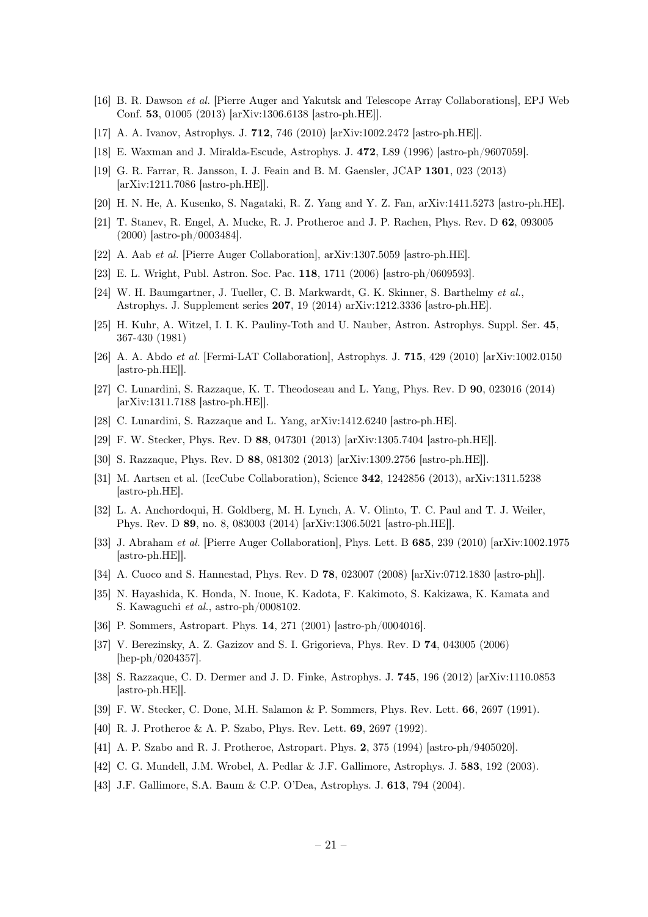- [16] B. R. Dawson et al. [Pierre Auger and Yakutsk and Telescope Array Collaborations], EPJ Web Conf. 53, 01005 (2013) [arXiv:1306.6138 [astro-ph.HE]].
- <span id="page-21-1"></span>[17] A. A. Ivanov, Astrophys. J. 712, 746 (2010) [arXiv:1002.2472 [astro-ph.HE]].
- <span id="page-21-2"></span>[18] E. Waxman and J. Miralda-Escude, Astrophys. J. 472, L89 (1996) [astro-ph/9607059].
- <span id="page-21-3"></span>[19] G. R. Farrar, R. Jansson, I. J. Feain and B. M. Gaensler, JCAP 1301, 023 (2013) [arXiv:1211.7086 [astro-ph.HE]].
- <span id="page-21-4"></span>[20] H. N. He, A. Kusenko, S. Nagataki, R. Z. Yang and Y. Z. Fan, arXiv:1411.5273 [astro-ph.HE].
- <span id="page-21-6"></span>[21] T. Stanev, R. Engel, A. Mucke, R. J. Protheroe and J. P. Rachen, Phys. Rev. D 62, 093005 (2000) [astro-ph/0003484].
- <span id="page-21-5"></span>[22] A. Aab et al. [Pierre Auger Collaboration], arXiv:1307.5059 [astro-ph.HE].
- <span id="page-21-7"></span>[23] E. L. Wright, Publ. Astron. Soc. Pac. 118, 1711 (2006) [astro-ph/0609593].
- <span id="page-21-8"></span>[24] W. H. Baumgartner, J. Tueller, C. B. Markwardt, G. K. Skinner, S. Barthelmy et al., Astrophys. J. Supplement series 207, 19 (2014) arXiv:1212.3336 [astro-ph.HE].
- <span id="page-21-9"></span>[25] H. Kuhr, A. Witzel, I. I. K. Pauliny-Toth and U. Nauber, Astron. Astrophys. Suppl. Ser. 45, 367-430 (1981)
- <span id="page-21-10"></span>[26] A. A. Abdo et al. [Fermi-LAT Collaboration], Astrophys. J. 715, 429 (2010) [arXiv:1002.0150 [astro-ph.HE]].
- <span id="page-21-11"></span>[27] C. Lunardini, S. Razzaque, K. T. Theodoseau and L. Yang, Phys. Rev. D 90, 023016 (2014) [arXiv:1311.7188 [astro-ph.HE]].
- <span id="page-21-12"></span>[28] C. Lunardini, S. Razzaque and L. Yang, arXiv:1412.6240 [astro-ph.HE].
- <span id="page-21-13"></span>[29] F. W. Stecker, Phys. Rev. D 88, 047301 (2013) [arXiv:1305.7404 [astro-ph.HE]].
- <span id="page-21-14"></span>[30] S. Razzaque, Phys. Rev. D 88, 081302 (2013) [arXiv:1309.2756 [astro-ph.HE]].
- <span id="page-21-15"></span>[31] M. Aartsen et al. (IceCube Collaboration), Science 342, 1242856 (2013), arXiv:1311.5238 [astro-ph.HE].
- <span id="page-21-16"></span>[32] L. A. Anchordoqui, H. Goldberg, M. H. Lynch, A. V. Olinto, T. C. Paul and T. J. Weiler, Phys. Rev. D 89, no. 8, 083003 (2014) [arXiv:1306.5021 [astro-ph.HE]].
- <span id="page-21-17"></span>[33] J. Abraham et al. [Pierre Auger Collaboration], Phys. Lett. B 685, 239 (2010) [arXiv:1002.1975 [astro-ph.HE]].
- <span id="page-21-18"></span>[34] A. Cuoco and S. Hannestad, Phys. Rev. D 78, 023007 (2008) [arXiv:0712.1830 [astro-ph]].
- <span id="page-21-19"></span>[35] N. Hayashida, K. Honda, N. Inoue, K. Kadota, F. Kakimoto, S. Kakizawa, K. Kamata and S. Kawaguchi et al., astro-ph/0008102.
- <span id="page-21-0"></span>[36] P. Sommers, Astropart. Phys. 14, 271 (2001) [astro-ph/0004016].
- <span id="page-21-20"></span>[37] V. Berezinsky, A. Z. Gazizov and S. I. Grigorieva, Phys. Rev. D 74, 043005 (2006) [hep-ph/0204357].
- <span id="page-21-21"></span>[38] S. Razzaque, C. D. Dermer and J. D. Finke, Astrophys. J. 745, 196 (2012) [arXiv:1110.0853 [astro-ph.HE]].
- <span id="page-21-22"></span>[39] F. W. Stecker, C. Done, M.H. Salamon & P. Sommers, Phys. Rev. Lett. 66, 2697 (1991).
- <span id="page-21-23"></span>[40] R. J. Protheroe & A. P. Szabo, Phys. Rev. Lett. 69, 2697 (1992).
- <span id="page-21-24"></span>[41] A. P. Szabo and R. J. Protheroe, Astropart. Phys. 2, 375 (1994) [astro-ph/9405020].
- <span id="page-21-25"></span>[42] C. G. Mundell, J.M. Wrobel, A. Pedlar & J.F. Gallimore, Astrophys. J. 583, 192 (2003).
- [43] J.F. Gallimore, S.A. Baum & C.P. O'Dea, Astrophys. J. 613, 794 (2004).